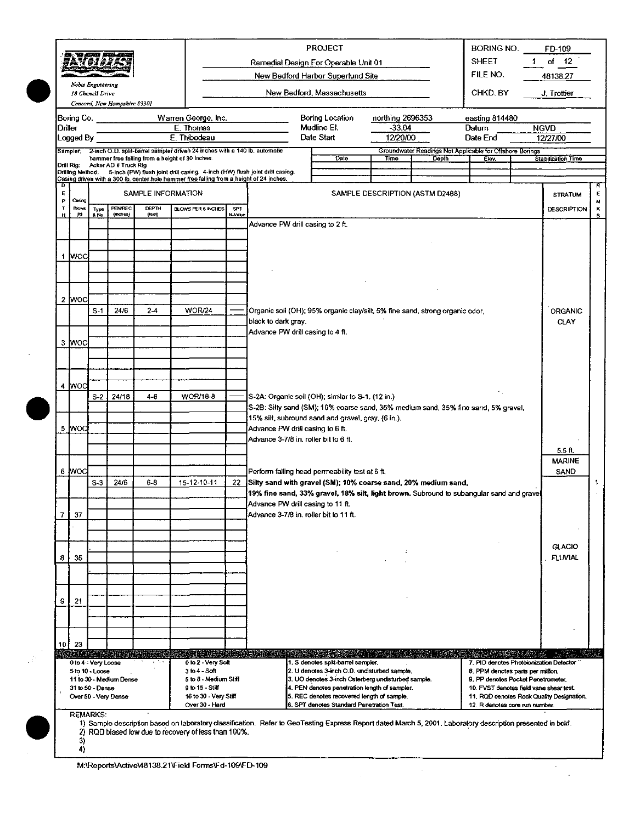|                 | <i>Q</i> ay61625               |                                       | 8. TI AMI PU AN                  |                        |                                                                                                                                        |                        |                                                                                                                                                             | <b>PROJECT</b><br>Remedial Design For Operable Unit 01                                      |                      |                                                                   | <b>BORING NO.</b><br><b>SHEET</b>                                            | $1 -$ | FD-109<br>of $12$                         |        |
|-----------------|--------------------------------|---------------------------------------|----------------------------------|------------------------|----------------------------------------------------------------------------------------------------------------------------------------|------------------------|-------------------------------------------------------------------------------------------------------------------------------------------------------------|---------------------------------------------------------------------------------------------|----------------------|-------------------------------------------------------------------|------------------------------------------------------------------------------|-------|-------------------------------------------|--------|
|                 |                                |                                       |                                  |                        |                                                                                                                                        |                        |                                                                                                                                                             | New Bedford Harbor Superfund Site                                                           |                      |                                                                   | FILE NO.                                                                     |       | 48138.27                                  |        |
|                 |                                | Nobis Engineering<br>18 Chenell Drive | Concord, New Hampshire 03301     |                        |                                                                                                                                        |                        |                                                                                                                                                             | New Bedford, Massachusetts                                                                  |                      |                                                                   | CHKD. BY                                                                     |       | J. Trottier                               |        |
|                 | Boring Co.                     |                                       |                                  |                        | Warren George, Inc.                                                                                                                    |                        |                                                                                                                                                             | Boring Location                                                                             | northing 2696353     |                                                                   | easting 814480                                                               |       |                                           |        |
|                 | Driller                        |                                       |                                  |                        | E. Thomas                                                                                                                              |                        |                                                                                                                                                             | Mudline El.                                                                                 | $-33.04$             |                                                                   | Datum                                                                        |       | <b>NGVD</b>                               |        |
|                 | Logged By                      |                                       |                                  |                        | E. Thibodeau                                                                                                                           |                        |                                                                                                                                                             | Date Start                                                                                  | 12/20/00             |                                                                   | Date End                                                                     |       | 12/27/00                                  |        |
|                 |                                |                                       |                                  |                        | Sampler: 2-inch O.D. split-barrel sampler driven 24 inches with a 140 lb, automatic<br>hammer free falling from a height of 30 Inches. |                        |                                                                                                                                                             | Date                                                                                        | Time                 | Groundwater Readings Not Applicable for Offshore Borings<br>Dopth | <b>Elev</b>                                                                  |       | Stabilization Time                        |        |
|                 |                                |                                       | Drill Rig: Acker AD It Truck Rig |                        | Drilling Method; 5-inch (PW) flush joint drill casing. 4-inch (HW) flush joint drill casing.                                           |                        |                                                                                                                                                             |                                                                                             |                      |                                                                   |                                                                              |       |                                           |        |
| Ð               |                                |                                       |                                  |                        | Casing driven with a 300 lb, center hole hammer free falling from a height of 24 inches.                                               |                        |                                                                                                                                                             |                                                                                             |                      |                                                                   |                                                                              |       |                                           | R      |
| E<br>P          | Casing                         |                                       |                                  | SAMPLE INFORMATION     |                                                                                                                                        |                        |                                                                                                                                                             |                                                                                             |                      | SAMPLE DESCRIPTION (ASTM D2488)                                   |                                                                              |       | <b>STRATUM</b>                            | Ε<br>耕 |
| н               | <b>Blows</b><br>$(\mathbf{R})$ | Type<br>& No.                         | PENREC<br>(mod 1)                | <b>DEPTH</b><br>(leet) | BLOWS PER 6 INCHES                                                                                                                     | SPT.<br><b>N-Value</b> |                                                                                                                                                             |                                                                                             |                      |                                                                   |                                                                              |       | <b>DESCRIPTION</b>                        | к<br>s |
|                 |                                |                                       |                                  |                        |                                                                                                                                        |                        | Advance PW drill casing to 2 ft.                                                                                                                            |                                                                                             |                      |                                                                   |                                                                              |       |                                           |        |
|                 |                                |                                       |                                  |                        |                                                                                                                                        |                        |                                                                                                                                                             |                                                                                             |                      |                                                                   |                                                                              |       |                                           |        |
|                 | 1 MOC                          |                                       |                                  |                        |                                                                                                                                        |                        |                                                                                                                                                             |                                                                                             |                      |                                                                   |                                                                              |       |                                           |        |
|                 |                                |                                       |                                  |                        |                                                                                                                                        |                        |                                                                                                                                                             |                                                                                             |                      |                                                                   |                                                                              |       |                                           |        |
|                 |                                |                                       |                                  |                        |                                                                                                                                        |                        |                                                                                                                                                             |                                                                                             |                      |                                                                   |                                                                              |       |                                           |        |
|                 | 2 MOC                          |                                       |                                  |                        |                                                                                                                                        |                        |                                                                                                                                                             |                                                                                             |                      |                                                                   |                                                                              |       |                                           |        |
|                 |                                | $S-1$                                 | 24/6                             | $2-4$                  | <b>WOR/24</b>                                                                                                                          |                        | Organic soil (OH); 95% organic clay/silt, 5% fine sand, strong organic odor,                                                                                |                                                                                             |                      |                                                                   |                                                                              |       | <b>ORGANIC</b>                            |        |
|                 |                                |                                       |                                  |                        |                                                                                                                                        |                        | black to dark gray.                                                                                                                                         |                                                                                             |                      |                                                                   |                                                                              |       | <b>CLAY</b>                               |        |
|                 |                                |                                       |                                  |                        |                                                                                                                                        |                        | Advance PW drill casing to 4 ft.                                                                                                                            |                                                                                             |                      |                                                                   |                                                                              |       |                                           |        |
|                 | 3 MOC                          |                                       |                                  |                        |                                                                                                                                        |                        |                                                                                                                                                             |                                                                                             |                      |                                                                   |                                                                              |       |                                           |        |
|                 |                                |                                       |                                  |                        |                                                                                                                                        |                        |                                                                                                                                                             |                                                                                             |                      |                                                                   |                                                                              |       |                                           |        |
|                 |                                |                                       |                                  |                        |                                                                                                                                        |                        |                                                                                                                                                             |                                                                                             |                      |                                                                   |                                                                              |       |                                           |        |
|                 | 4 Mod                          |                                       |                                  |                        |                                                                                                                                        |                        |                                                                                                                                                             |                                                                                             |                      |                                                                   |                                                                              |       |                                           |        |
|                 |                                | $S-2$                                 | 24/18                            | 4.6                    | <b>WOR/18-8</b>                                                                                                                        |                        | S-2A: Organic soil (OH); similar to S-1. (12 in.)<br>S-2B: Silty sand (SM); 10% coarse sand, 35% medium sand, 35% fine sand, 5% gravel,                     |                                                                                             |                      |                                                                   |                                                                              |       |                                           |        |
|                 |                                |                                       |                                  |                        |                                                                                                                                        |                        | 15% silt, subround sand and gravel, gray. (6 in.).                                                                                                          |                                                                                             |                      |                                                                   |                                                                              |       |                                           |        |
|                 | 5 WOC                          |                                       |                                  |                        |                                                                                                                                        |                        | Advance PW drill casing to 6 ft.                                                                                                                            |                                                                                             |                      |                                                                   |                                                                              |       |                                           |        |
|                 |                                |                                       |                                  |                        |                                                                                                                                        |                        | Advance 3-7/8 in. roller bit to 6 ft.                                                                                                                       |                                                                                             |                      |                                                                   |                                                                              |       | 5.5 ft                                    |        |
|                 |                                |                                       |                                  |                        |                                                                                                                                        |                        |                                                                                                                                                             |                                                                                             |                      |                                                                   |                                                                              |       | <b>MARINE</b>                             |        |
|                 | 6 lwod                         |                                       |                                  |                        |                                                                                                                                        |                        | Perform falling head permeability test at 6 ft.                                                                                                             |                                                                                             |                      |                                                                   |                                                                              |       | SAND                                      |        |
|                 |                                | $S-3$                                 | 24/6                             | $6-8$                  | 15-12-10-11                                                                                                                            | 22                     | Silty sand with gravel (SM); 10% coarse sand, 20% medium sand,                                                                                              |                                                                                             |                      |                                                                   |                                                                              |       |                                           | 1      |
|                 |                                |                                       |                                  |                        |                                                                                                                                        |                        | 19% fine sand, 33% gravel, 18% silt, light brown. Subround to subangular sand and gravel<br>Advance PW drill casing to 11 ft.                               |                                                                                             |                      |                                                                   |                                                                              |       |                                           |        |
| 7               | 37                             |                                       |                                  |                        |                                                                                                                                        |                        | Advance 3-7/8 in. roller bit to 11 ft.                                                                                                                      |                                                                                             |                      |                                                                   |                                                                              |       |                                           |        |
|                 |                                |                                       |                                  |                        |                                                                                                                                        |                        |                                                                                                                                                             |                                                                                             |                      |                                                                   |                                                                              |       |                                           |        |
|                 |                                |                                       |                                  |                        |                                                                                                                                        |                        |                                                                                                                                                             |                                                                                             |                      |                                                                   |                                                                              |       | <b>GLACIO</b>                             |        |
| 8               | 35                             |                                       |                                  |                        |                                                                                                                                        |                        |                                                                                                                                                             |                                                                                             | $\ddot{\phantom{a}}$ |                                                                   |                                                                              |       | <b>FLUVIAL</b>                            |        |
|                 |                                |                                       |                                  |                        |                                                                                                                                        |                        |                                                                                                                                                             |                                                                                             |                      |                                                                   |                                                                              |       |                                           |        |
|                 |                                |                                       |                                  |                        |                                                                                                                                        |                        |                                                                                                                                                             |                                                                                             |                      |                                                                   |                                                                              |       |                                           |        |
| 9               | 21                             |                                       |                                  |                        |                                                                                                                                        |                        |                                                                                                                                                             |                                                                                             |                      |                                                                   |                                                                              |       |                                           |        |
|                 |                                |                                       |                                  |                        |                                                                                                                                        |                        |                                                                                                                                                             |                                                                                             |                      |                                                                   |                                                                              |       |                                           |        |
|                 |                                |                                       |                                  |                        |                                                                                                                                        |                        |                                                                                                                                                             |                                                                                             |                      |                                                                   |                                                                              |       |                                           |        |
| 10 <sup>1</sup> | 23                             |                                       |                                  |                        |                                                                                                                                        |                        |                                                                                                                                                             |                                                                                             |                      |                                                                   |                                                                              |       |                                           |        |
|                 |                                |                                       |                                  |                        | <u>hold as an ability as cheaped black a</u>                                                                                           |                        |                                                                                                                                                             | 3 T 주장은 사진의 사회에 있는 POTA 2 T MONTAGE DESIGN TV 4 X M 등 등 가능성 2 M X X M                       |                      |                                                                   |                                                                              |       |                                           |        |
|                 |                                | 0 to 4 Very Loose<br>5 to 10 - Loose  |                                  |                        | 0 to 2 - Very Soft<br>$3$ to $4 - S$ cit                                                                                               |                        |                                                                                                                                                             | 1. S denotes split-barrel sampler.<br>2. U denotes 3-inch O.D. undisturbed sample.          |                      |                                                                   | 7. PID denotes Photoionization Detector<br>8. PPM denotes parts per million. |       |                                           |        |
|                 |                                |                                       | 11 to 30 - Medium Dense          |                        | 5 to 8 - Medium Stiff                                                                                                                  |                        |                                                                                                                                                             | 3. UO denotes 3-inch Osterberg undisturbed sample.                                          |                      |                                                                   | 9. PP denotes Pocket Penetrometer.                                           |       |                                           |        |
|                 |                                | 31 to 50 - Dense                      | Over 50 - Very Dense             |                        | 9 to 15 - Stiff<br>16 to 30 - Very Stiff                                                                                               |                        |                                                                                                                                                             | 4. PEN denotes penetration length of sampler.<br>5. REC denotes recovered length of sample. |                      |                                                                   | 10. FVST denotes field vane shear test.                                      |       | 11. ROD denotes Rock Quality Designation. |        |
|                 |                                |                                       |                                  |                        | Over 30 - Hard                                                                                                                         |                        |                                                                                                                                                             | 6. SPT denotes Standard Penetration Test.                                                   |                      |                                                                   | 12. R denotes core run number.                                               |       |                                           |        |
|                 |                                | <b>REMARKS:</b>                       |                                  |                        |                                                                                                                                        |                        | 1) Sample description based on laboratory classification. Refer to GeoTesting Express Report dated March 5, 2001. Laboratory description presented in bold. |                                                                                             |                      |                                                                   |                                                                              |       |                                           |        |
|                 | 3)                             |                                       |                                  |                        | 2) RQD biased low due to recovery of less than 100%.                                                                                   |                        |                                                                                                                                                             |                                                                                             |                      |                                                                   |                                                                              |       |                                           |        |
|                 | 4)                             |                                       |                                  |                        |                                                                                                                                        |                        |                                                                                                                                                             |                                                                                             |                      |                                                                   |                                                                              |       |                                           |        |

 $\mathcal{A}^{\mathcal{A}}$ 

 $\ddot{\phantom{a}}$ 

 $\hat{\mathcal{A}}$ 

M:\Reports\Active\48138.21\Field Forms\Fd-109\FD-109

 $\mathsf{l}$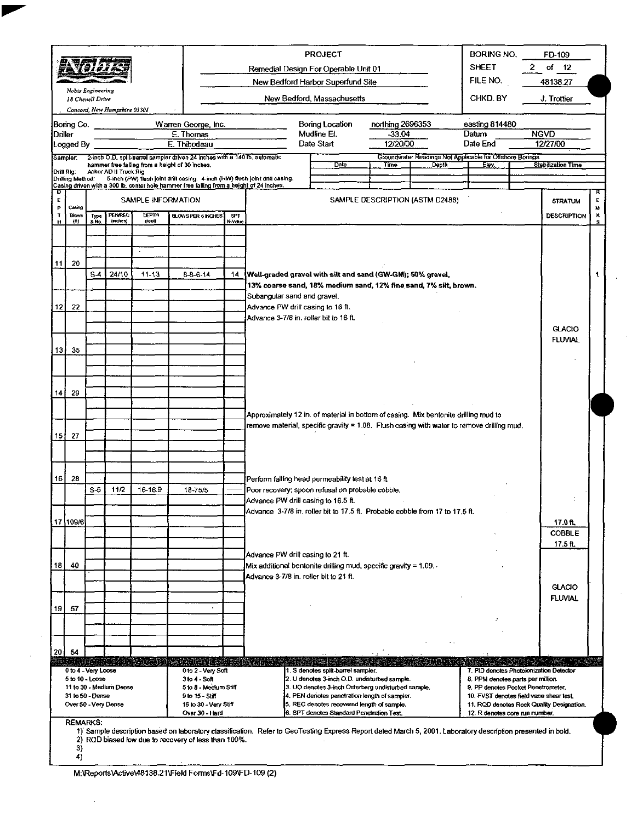|             |                                                                   | Nobis Engineering<br>18 Chenell Drive |                              |                        |                                                                                                                                                                         |               |                             | <b>PROJECT</b><br>Remedial Design For Operable Unit 01<br>New Bedford Harbor Superfund Site<br>New Bedford, Massachusetts                                                                                                                                                                                                                                     | <b>BORING NO.</b><br><b>SHEET</b><br>FILE NO.<br>CHKD BY | FD-109<br>of $12$<br>2<br>48138.27<br>J. Trottier |                                                                      |                                                                                      |               |
|-------------|-------------------------------------------------------------------|---------------------------------------|------------------------------|------------------------|-------------------------------------------------------------------------------------------------------------------------------------------------------------------------|---------------|-----------------------------|---------------------------------------------------------------------------------------------------------------------------------------------------------------------------------------------------------------------------------------------------------------------------------------------------------------------------------------------------------------|----------------------------------------------------------|---------------------------------------------------|----------------------------------------------------------------------|--------------------------------------------------------------------------------------|---------------|
| Driller     | Bonng Co.<br>Logged By                                            |                                       | Concord, New Hampshire 03301 |                        | Warren George, Inc.<br>E. Thomas<br>E. Thibodeau                                                                                                                        |               |                             | Bonng Location<br>Mudline El.<br>Date Start                                                                                                                                                                                                                                                                                                                   | northing 2696353<br>$-33.04$<br>12/20/00                 |                                                   | easting 814480<br>Datum<br>Date End                                  | <b>NGVD</b><br>12/27/00                                                              |               |
| Drill Rig:  | Sampler                                                           |                                       | Acker AD II Truck Rig        |                        | 2-inch O.D. split-barrel sampler driven 24 inches with a 140 lb, automatic<br>hammer free falling from a height of 30 inches.                                           |               |                             | Date                                                                                                                                                                                                                                                                                                                                                          | Time                                                     | Depth                                             | Groundwater Readings Not Applicable for Offshore Borings<br>Elev.    | <b>Stabilization Time</b>                                                            |               |
| o<br>Е      | Drilling Method:                                                  |                                       |                              | SAMPLE INFORMATION     | 5-inch (PW) flush joint drill casing. 4-inch (HW) flush joint drill casing.<br>Casing driven with a 300 lb. center hole hammer free falling from a height of 24 inches. |               |                             |                                                                                                                                                                                                                                                                                                                                                               | SAMPLE DESCRIPTION (ASTM D2488)                          |                                                   |                                                                      | <b>STRATUM</b>                                                                       | Е             |
| P<br>т<br>н | Casing<br><b>Blows</b><br>(n)                                     | 1,pe                                  | PENREC<br>$($ anches)        | <b>DEPTH</b><br>(3ee0) | <b>BLOWS PER 6 INCHES</b>                                                                                                                                               | SPT<br>N Vaue |                             |                                                                                                                                                                                                                                                                                                                                                               |                                                          |                                                   |                                                                      | DESCRIPTION                                                                          | 3,1<br>x<br>s |
|             |                                                                   |                                       |                              |                        |                                                                                                                                                                         |               |                             |                                                                                                                                                                                                                                                                                                                                                               |                                                          |                                                   |                                                                      |                                                                                      |               |
| 11          | 20                                                                | $S-4$                                 | 24/10                        | $11-13$                | $8 - 6 - 14$                                                                                                                                                            | 14            |                             | Well-graded gravel with silt and sand (GW-GM), 50% gravel,<br>13% coarse sand, 18% medium sand, 12% fine sand, 7% silt, brown.                                                                                                                                                                                                                                |                                                          |                                                   |                                                                      |                                                                                      |               |
| 12          | 22                                                                |                                       |                              |                        |                                                                                                                                                                         |               | Subangular sand and gravel. | Advance PW drill casing to 16 ft.<br>Advance 3-7/8 in. roller bit to 16 ft.                                                                                                                                                                                                                                                                                   |                                                          |                                                   |                                                                      | <b>GLACIO</b>                                                                        |               |
| 13)         | 35                                                                |                                       |                              |                        |                                                                                                                                                                         |               |                             |                                                                                                                                                                                                                                                                                                                                                               |                                                          |                                                   |                                                                      | <b>FLUVIAL</b>                                                                       |               |
| 14          | 29                                                                |                                       |                              |                        |                                                                                                                                                                         |               |                             |                                                                                                                                                                                                                                                                                                                                                               |                                                          |                                                   |                                                                      |                                                                                      |               |
|             | $15$   27                                                         |                                       |                              |                        |                                                                                                                                                                         |               |                             | Approximately 12 in. of material in bottom of casing. Mix bentonite drilling mud to<br>remove material, specific gravity = 1.08. Flush casing with water to remove drilling mud.                                                                                                                                                                              |                                                          |                                                   |                                                                      |                                                                                      |               |
| 16          | 28                                                                | S 5                                   | 11/2                         | 16-16.9                | 18 75/5                                                                                                                                                                 |               |                             | Perform falling head permeability test at 16 ft.<br>Poor recovery; spoon refusal on probable cobble,<br>Advance PW drill casing to 16.5 ft.                                                                                                                                                                                                                   |                                                          |                                                   |                                                                      |                                                                                      |               |
|             | 17 109/6                                                          |                                       |                              |                        |                                                                                                                                                                         |               |                             | Advance 3-7/8 in. roller bit to 17.5 ft. Probable cobble from 17 to 17.5 ft.                                                                                                                                                                                                                                                                                  |                                                          |                                                   |                                                                      | 17.0 ft.<br><b>COBBLE</b><br>17.5 ft.                                                |               |
| 18          | 40                                                                |                                       |                              |                        |                                                                                                                                                                         |               |                             | Advance PW drill casing to 21 ft.<br>Mix additional bentonite drilling mud, specific gravity = 1.09.<br>Advance 3-7/8 in. roller bit to 21 ft.                                                                                                                                                                                                                |                                                          |                                                   |                                                                      | <b>GLACIO</b>                                                                        |               |
| 19          | 57                                                                |                                       |                              |                        |                                                                                                                                                                         |               |                             |                                                                                                                                                                                                                                                                                                                                                               |                                                          |                                                   |                                                                      | <b>FLUVIAL</b>                                                                       |               |
|             | $20$ 54<br>0 to 4 - Very Loose<br>5 to 10 - Loose                 |                                       |                              |                        | <u> KONDO KAMBA BAGA BIRGI BILI MASHLI BILI MASHLI MASHLI MASHLI MASHLI MASHLI MASHLI MASHLI MASHLI MASHLI MASHLI </u><br>0 to 2 - Very Soft<br>$3 to 4 - Soft$         |               |                             | 1 S denotes split-barrel sampler.<br>2. U denotes 3-inch O.D. undisturbed sample.                                                                                                                                                                                                                                                                             |                                                          |                                                   | 8. PPM denotes parts per million.                                    | 7. PID denotes Photoionization Detector                                              |               |
|             | 31 to 50 - Dense<br>Over 50 - Very Dense<br><b>REMARKS:</b><br>3) |                                       | 11 to 30 - Medium Dense      |                        | 5 to 8 - Medium Stiff<br>9 to 15 - Stiff<br>16 to 30 - Very Stiff<br>Over 30 - Hard<br>2) RQD biased low due to recovery of less than 100%.                             |               |                             | 3. UO denotes 3-inch Osterberg undisturbed sample.<br>4. PEN denotes penetration length of sampler.<br>5. REC denotes recovered length of sample.<br>6. SPT denotes Standard Penetration Test.<br>1) Sample description based on laboratory classification. Refer to GeoTesting Express Report dated March 5, 2001. Laboratory description presented in bold. |                                                          |                                                   | 9. PP denotes Pocket Penetrometer.<br>12. R denotes core run number. | 10. FVST denotes field vane shear test.<br>11. RQD denotes Rock Quality Designation. |               |

M:\Reports\Active\48138.21\Field Forms\Fd-109\FD-109 (2)

 $\ddot{\phantom{0}}$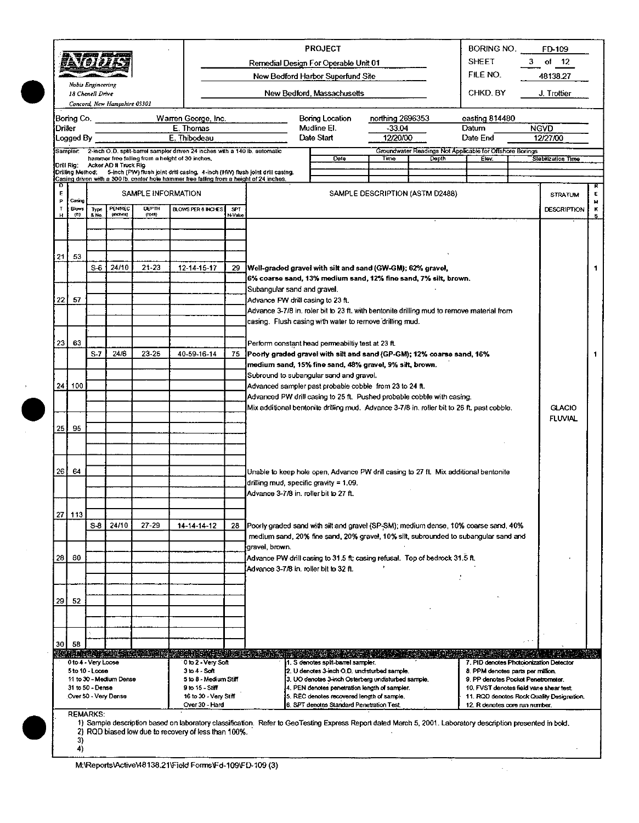|         |                        |                                       |                              |                                  |                                                                                                                                                                                          |         |                                   | <b>PROJECT</b>                                                                                                                                              |                  |                                                          | BORING NO.                                                                   | FD-109                                    |                |
|---------|------------------------|---------------------------------------|------------------------------|----------------------------------|------------------------------------------------------------------------------------------------------------------------------------------------------------------------------------------|---------|-----------------------------------|-------------------------------------------------------------------------------------------------------------------------------------------------------------|------------------|----------------------------------------------------------|------------------------------------------------------------------------------|-------------------------------------------|----------------|
|         |                        | AVODE                                 |                              |                                  |                                                                                                                                                                                          |         |                                   | Remedial Design For Operable Unit 01                                                                                                                        |                  |                                                          | <b>SHEET</b>                                                                 | 3 of 12                                   |                |
|         |                        |                                       |                              |                                  |                                                                                                                                                                                          |         |                                   | New Bedford Harbor Superfund Site                                                                                                                           |                  |                                                          | FILE NO.                                                                     | 48138.27                                  |                |
|         |                        | Nobis Engineering<br>18 Chenell Drive | Concord, New Hampshire 03301 |                                  |                                                                                                                                                                                          |         |                                   | New Bedford, Massachusetts                                                                                                                                  |                  |                                                          | CHKD, BY                                                                     | J. Trottier                               |                |
|         | Boring Co.             |                                       |                              |                                  | Warren George, Inc.                                                                                                                                                                      |         |                                   | Boring Location                                                                                                                                             | northing 2696353 |                                                          | easting 814480                                                               |                                           |                |
| Driller |                        |                                       |                              |                                  | E. Thomas                                                                                                                                                                                |         |                                   | Mudline El.<br>Date Start                                                                                                                                   | $-33.04$         |                                                          | Datum                                                                        | <b>NGVD</b>                               |                |
|         | Logged By              |                                       |                              |                                  | E. Thibodeau<br>Sampler: 2-inch O.D. split-barrel sampler driven 24 inches with a 140 lb. automatic                                                                                      |         |                                   |                                                                                                                                                             | 12/20/00         | Groundwater Readings Not Applicable for Offshore Borings | Date End                                                                     | 12/27/00                                  |                |
|         | Drill Rig:             |                                       | Acker AD II Truck Rig        |                                  | hammer free falling from a height of 30 inches.                                                                                                                                          |         |                                   | Date                                                                                                                                                        | <b>Time</b>      | Depth                                                    | Flov.                                                                        | Stabilization Time                        |                |
|         |                        |                                       |                              |                                  | Drilling Method: 5-inch (PW) flush joint drill casing. 4-inch (HW) flush joint drill casing.<br>Casing driven with a 300 lb, center hole hammer free failing from a height of 24 inches. |         |                                   |                                                                                                                                                             |                  |                                                          |                                                                              |                                           |                |
| D<br>E  |                        |                                       |                              | SAMPLE INFORMATION               |                                                                                                                                                                                          |         |                                   |                                                                                                                                                             |                  | SAMPLE DESCRIPTION (ASTM D2488)                          |                                                                              | <b>STRATUM</b>                            | Е              |
| P<br>T  | Casing<br><b>Blows</b> |                                       | PENREC                       | <b>DEPTH</b>                     | <b>BLOWS PER 6 INCHES</b>                                                                                                                                                                | SPT.    |                                   |                                                                                                                                                             |                  |                                                          |                                                                              | <b>DESCRIPTION</b>                        | Ħ              |
| н       | (n)                    | Type<br>8 No.                         | (notes)                      | (1ee1)                           |                                                                                                                                                                                          | N-Value |                                   |                                                                                                                                                             |                  |                                                          |                                                                              |                                           | $\kappa$<br>Ş. |
|         |                        |                                       |                              |                                  |                                                                                                                                                                                          |         |                                   |                                                                                                                                                             |                  |                                                          |                                                                              |                                           |                |
|         |                        |                                       |                              |                                  |                                                                                                                                                                                          |         |                                   |                                                                                                                                                             |                  |                                                          |                                                                              |                                           |                |
| 21      | -53                    |                                       |                              |                                  |                                                                                                                                                                                          |         |                                   |                                                                                                                                                             |                  |                                                          |                                                                              |                                           |                |
|         |                        | S-6                                   | 24/10                        | $21 - 23$                        | 12-14-15-17                                                                                                                                                                              | 29      |                                   | [Well-graded gravel with silt and sand (GW-GM); 62% gravel,<br>6% coarse sand, 13% medium sand, 12% fine sand, 7% silt, brown.                              |                  |                                                          |                                                                              |                                           | 1              |
|         |                        |                                       |                              |                                  |                                                                                                                                                                                          |         | Subangular sand and gravel.       |                                                                                                                                                             |                  |                                                          |                                                                              |                                           |                |
| 22 I    | 57                     |                                       |                              |                                  |                                                                                                                                                                                          |         | Advance PW drill casing to 23 ft. |                                                                                                                                                             |                  |                                                          |                                                                              |                                           |                |
|         |                        |                                       |                              |                                  |                                                                                                                                                                                          |         |                                   | Advance 3-7/8 in. roler bit to 23 ft, with bentonite drilling mud to remove material from<br>casing. Flush casing with water to remove drilling mud.        |                  |                                                          |                                                                              |                                           |                |
|         |                        |                                       |                              |                                  |                                                                                                                                                                                          |         |                                   |                                                                                                                                                             |                  |                                                          |                                                                              |                                           |                |
| 23      | 63                     |                                       |                              |                                  |                                                                                                                                                                                          |         |                                   | Perform constant head permeability test at 23 ft.                                                                                                           |                  |                                                          |                                                                              |                                           |                |
|         |                        | $S-7$                                 | 24/6                         | $23 - 25$                        | 40-59-16-14                                                                                                                                                                              | 75      |                                   | Poorly graded gravel with silt and sand (GP-GM); 12% coarse sand, 16%                                                                                       |                  |                                                          |                                                                              |                                           | 1              |
|         |                        |                                       |                              |                                  |                                                                                                                                                                                          |         |                                   | medium sand, 15% fine sand, 48% gravel, 9% silt, brown.<br>Subround to subangular sand and gravel.                                                          |                  |                                                          |                                                                              |                                           |                |
|         | 24   100               |                                       |                              |                                  |                                                                                                                                                                                          |         |                                   | Advanced sampler past probable cobble from 23 to 24 ft.                                                                                                     |                  |                                                          |                                                                              |                                           |                |
|         |                        |                                       |                              |                                  |                                                                                                                                                                                          |         |                                   | Advanced PW drill casing to 25 ft. Pushed probable cobble with casing.                                                                                      |                  |                                                          |                                                                              |                                           |                |
|         |                        |                                       |                              |                                  |                                                                                                                                                                                          |         |                                   | Mix additional bentonile drilling mud. Advance 3-7/8 in. roller bit to 26 ft. past cobble.                                                                  |                  |                                                          |                                                                              | <b>GLACIO</b><br><b>FLUVIAL</b>           |                |
| 25 L    | 95                     |                                       |                              |                                  |                                                                                                                                                                                          |         |                                   |                                                                                                                                                             |                  |                                                          |                                                                              |                                           |                |
|         |                        |                                       |                              |                                  |                                                                                                                                                                                          |         |                                   |                                                                                                                                                             |                  |                                                          |                                                                              |                                           |                |
|         |                        |                                       |                              |                                  |                                                                                                                                                                                          |         |                                   |                                                                                                                                                             |                  |                                                          |                                                                              |                                           |                |
| 26 j    | 64                     |                                       |                              |                                  |                                                                                                                                                                                          |         |                                   | Unable to keep hole open, Advance PW drill casing to 27 ft. Mix additional bentonite.                                                                       |                  |                                                          |                                                                              |                                           |                |
|         |                        |                                       |                              |                                  |                                                                                                                                                                                          |         |                                   | drilling mud, specific gravity = 1.09.                                                                                                                      |                  |                                                          |                                                                              |                                           |                |
|         |                        |                                       |                              |                                  |                                                                                                                                                                                          |         |                                   | Advance 3-7/8 in. roller bit to 27 ft.                                                                                                                      |                  |                                                          |                                                                              |                                           |                |
|         | 27 113                 |                                       |                              |                                  |                                                                                                                                                                                          |         |                                   |                                                                                                                                                             |                  |                                                          |                                                                              |                                           |                |
|         |                        | $S-8$                                 | 24/10                        | 27-29                            | 14-14-14-12                                                                                                                                                                              | 28      |                                   | Poorly graded sand with silt and gravel (SP-SM); medium dense, 10% coarse sand, 40%                                                                         |                  |                                                          |                                                                              |                                           |                |
|         |                        |                                       |                              |                                  |                                                                                                                                                                                          |         | gravel, brown.                    | medium sand, 20% fine sand, 20% gravel, 10% silt, subrounded to subangular sand and                                                                         |                  |                                                          |                                                                              |                                           |                |
| 28      | 60                     |                                       |                              |                                  |                                                                                                                                                                                          |         |                                   | Advance PW drill casing to 31.5 ft; casing refusal. Top of bedrock 31.5 ft.                                                                                 |                  |                                                          |                                                                              |                                           |                |
|         |                        |                                       |                              |                                  |                                                                                                                                                                                          |         |                                   | Advance 3-7/8 in, roller bit to 32 ft.                                                                                                                      |                  |                                                          |                                                                              |                                           |                |
|         |                        |                                       |                              |                                  |                                                                                                                                                                                          |         |                                   |                                                                                                                                                             |                  |                                                          |                                                                              |                                           |                |
| 29      | 52                     |                                       |                              |                                  |                                                                                                                                                                                          |         |                                   |                                                                                                                                                             |                  |                                                          |                                                                              |                                           |                |
|         |                        |                                       |                              |                                  |                                                                                                                                                                                          |         |                                   |                                                                                                                                                             |                  |                                                          |                                                                              |                                           |                |
|         |                        |                                       |                              |                                  |                                                                                                                                                                                          |         |                                   |                                                                                                                                                             |                  |                                                          |                                                                              |                                           |                |
|         | 30 I 58                |                                       |                              |                                  |                                                                                                                                                                                          |         |                                   |                                                                                                                                                             |                  |                                                          |                                                                              |                                           |                |
|         |                        | 0 to 4 Very Loose                     |                              | <b>KURANTZAR SEDESHIKISHIKAN</b> | 0 to 2 - Very Soft                                                                                                                                                                       |         |                                   | 1. S denotes split-barrel sampler.                                                                                                                          |                  |                                                          | 7. PID denotes Photoionization Detector                                      |                                           |                |
|         |                        | 5 to 10 - Loose                       |                              |                                  | 3 to 4 Seft                                                                                                                                                                              |         |                                   | 2. U denotes 3-inch O.D. undisturbed sample.                                                                                                                |                  |                                                          | 8. PPM denotes parts per million.                                            |                                           |                |
|         |                        | 31 to 50 - Dense                      | 11 to 30 - Medium Dense      |                                  | 5 to 8 - Medium Stiff<br>9 to 15 - Stiff                                                                                                                                                 |         |                                   | 3. UO denotes 3-inch Osterberg undisturbed sample.<br>4. PEN denotes penetration length of sampler.                                                         |                  |                                                          | 9. PP denotes Pocket Penetromater.<br>10. FVST denotes field vane shear test |                                           |                |
|         |                        |                                       | Over 50 - Very Dense         |                                  | 16 to 30 - Very Stiff<br>Over 30 - Hard                                                                                                                                                  |         |                                   | 5. REC denotes recovered length of sample.<br>6. SPT denotes Standard Penetration Test.                                                                     |                  |                                                          | 12. R denotes core run number.                                               | 11. ROD denotes Rock Quality Designation. |                |
|         |                        | <b>REMARKS:</b>                       |                              |                                  |                                                                                                                                                                                          |         |                                   |                                                                                                                                                             |                  |                                                          |                                                                              |                                           |                |
|         |                        |                                       |                              |                                  | 2) RQD biased low due to recovery of less than 100%.                                                                                                                                     |         |                                   | 1) Sample description based on laboratory classification. Refer to GeoTesting Express Report dated March 5, 2001. Laboratory description presented in bold. |                  |                                                          |                                                                              |                                           |                |
|         | 3)                     |                                       |                              |                                  |                                                                                                                                                                                          |         |                                   |                                                                                                                                                             |                  |                                                          |                                                                              |                                           |                |
|         | 4)                     |                                       |                              |                                  |                                                                                                                                                                                          |         |                                   |                                                                                                                                                             |                  |                                                          |                                                                              |                                           |                |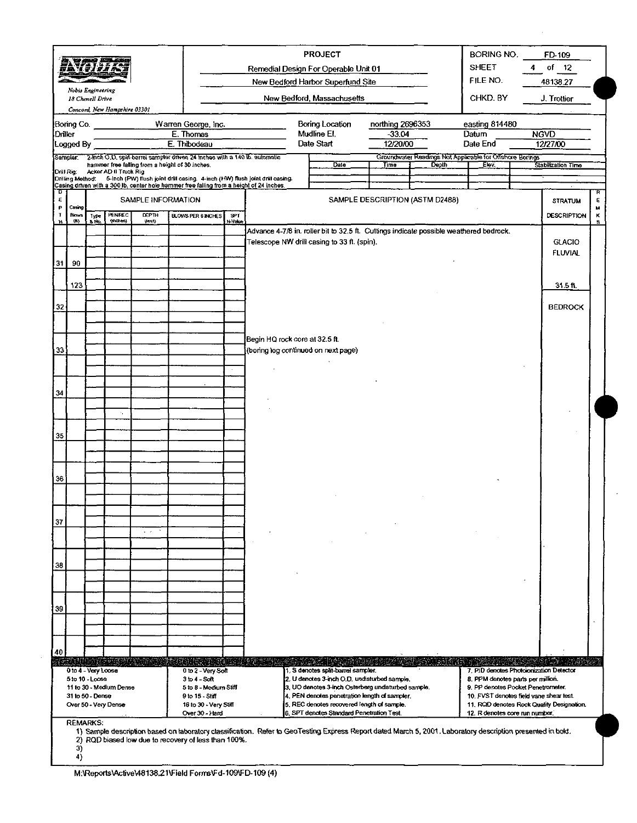|         |                            | <u>WA 4 21 F.F.R</u>                                       |                                                 |                                 |                                                                                                                              |                       |                                                                                                                                                                                                                                                                                                                                                                                                                                                                                                                                      | <b>PROJECT</b><br>Remedial Design For Operable Unit 01<br>New Bedford Harbor Superfund Site                                                                 |                                          |                                 | <b>BORING NO.</b><br><b>SHEET</b><br>FILE NO.                     | 4 | FD-109<br>of $12$<br>48138.27   |         |
|---------|----------------------------|------------------------------------------------------------|-------------------------------------------------|---------------------------------|------------------------------------------------------------------------------------------------------------------------------|-----------------------|--------------------------------------------------------------------------------------------------------------------------------------------------------------------------------------------------------------------------------------------------------------------------------------------------------------------------------------------------------------------------------------------------------------------------------------------------------------------------------------------------------------------------------------|-------------------------------------------------------------------------------------------------------------------------------------------------------------|------------------------------------------|---------------------------------|-------------------------------------------------------------------|---|---------------------------------|---------|
|         |                            | Nobis Engineering<br>18 Chenell Drive                      | Concord, New Hampshire 03301                    |                                 |                                                                                                                              |                       |                                                                                                                                                                                                                                                                                                                                                                                                                                                                                                                                      | New Bedford, Massachusetts                                                                                                                                  |                                          |                                 | CHKD BY<br>J. Trottier                                            |   |                                 |         |
| Driller | Boring Co.<br>Logged By    |                                                            |                                                 |                                 | Warren George, Inc.<br>E. Thomas<br>E. Thibodeau                                                                             |                       |                                                                                                                                                                                                                                                                                                                                                                                                                                                                                                                                      | Boring Location<br>Mudline El.<br>Date Start                                                                                                                | northing 2696353<br>$-33.04$<br>12/20/00 |                                 | easting 814480<br>Datum<br>Date End                               |   | <b>NGVD</b><br>12/27/00         |         |
|         | Sampler<br>Drill Rig       |                                                            | Acker AD II Truck Rig                           |                                 | 2-mch O.D. split-barrel sampler driven 24 inches with a 140 lb. automatic<br>hammer free falling from a height of 30 inches. |                       |                                                                                                                                                                                                                                                                                                                                                                                                                                                                                                                                      | Date <sup>-</sup>                                                                                                                                           | Time                                     | Depth                           | Groundwater Readings Not Applicable for Offshore Bonings<br>Elev. |   | Stabilization Time              |         |
| ъ       |                            |                                                            |                                                 |                                 | Casing driven with a 300 lb. center hole hammer free falling from a height of 24 inches.                                     |                       | Drilling Method: 5-inch (PW) flush joint drill casing. 4-inch (HW) flush joint drill casing.                                                                                                                                                                                                                                                                                                                                                                                                                                         |                                                                                                                                                             |                                          |                                 |                                                                   |   |                                 | R       |
| E<br>Þ  | Casing                     |                                                            |                                                 | SAMPLE INFORMATION              |                                                                                                                              |                       |                                                                                                                                                                                                                                                                                                                                                                                                                                                                                                                                      |                                                                                                                                                             |                                          | SAMPLE DESCRIPTION (ASTM D2488) |                                                                   |   | <b>STRATUM</b>                  | E<br>M  |
| Ŧ<br>Ħ  | <b>Blows</b><br><b>{R}</b> | Type<br>a No.                                              | PENREC<br>(indices)                             | <b>DEPTH</b><br>(seet)          | <b>BLOWS PER 6 INCHES</b>                                                                                                    | <b>SPT</b><br>N-Value |                                                                                                                                                                                                                                                                                                                                                                                                                                                                                                                                      |                                                                                                                                                             |                                          |                                 |                                                                   |   | <b>DESCRIPTION</b>              | к<br>s. |
| 31      | 90                         |                                                            |                                                 |                                 |                                                                                                                              |                       |                                                                                                                                                                                                                                                                                                                                                                                                                                                                                                                                      | Advance 4-7/8 in. roller bit to 32.5 ft. Cuttings indicate possible weathered bedrock.<br>Telescope NW drill casing to 33 ft. (spin).                       |                                          |                                 |                                                                   |   | <b>GLACIO</b><br><b>FLUVIAL</b> |         |
|         | 123                        |                                                            |                                                 |                                 |                                                                                                                              |                       |                                                                                                                                                                                                                                                                                                                                                                                                                                                                                                                                      |                                                                                                                                                             |                                          |                                 |                                                                   |   | $31.5$ fl.                      |         |
| 32      |                            |                                                            |                                                 |                                 |                                                                                                                              |                       |                                                                                                                                                                                                                                                                                                                                                                                                                                                                                                                                      |                                                                                                                                                             |                                          |                                 |                                                                   |   | <b>BEDROCK</b>                  |         |
| 33      |                            |                                                            |                                                 |                                 |                                                                                                                              |                       | Begin HQ rock core at 32.5 ft.<br>(boring log continued on next page)                                                                                                                                                                                                                                                                                                                                                                                                                                                                |                                                                                                                                                             |                                          |                                 |                                                                   |   |                                 |         |
|         |                            |                                                            |                                                 |                                 |                                                                                                                              |                       |                                                                                                                                                                                                                                                                                                                                                                                                                                                                                                                                      |                                                                                                                                                             |                                          |                                 |                                                                   |   |                                 |         |
| 34      |                            |                                                            | $\epsilon_{\rm s}$                              |                                 |                                                                                                                              |                       |                                                                                                                                                                                                                                                                                                                                                                                                                                                                                                                                      |                                                                                                                                                             |                                          |                                 |                                                                   |   |                                 |         |
| 35      |                            |                                                            |                                                 |                                 |                                                                                                                              |                       |                                                                                                                                                                                                                                                                                                                                                                                                                                                                                                                                      |                                                                                                                                                             |                                          |                                 |                                                                   |   |                                 |         |
|         |                            |                                                            |                                                 |                                 |                                                                                                                              |                       |                                                                                                                                                                                                                                                                                                                                                                                                                                                                                                                                      |                                                                                                                                                             |                                          |                                 |                                                                   |   |                                 |         |
| 36      |                            |                                                            |                                                 |                                 |                                                                                                                              |                       |                                                                                                                                                                                                                                                                                                                                                                                                                                                                                                                                      |                                                                                                                                                             |                                          |                                 |                                                                   |   |                                 |         |
| 37      |                            |                                                            |                                                 | $\epsilon \rightarrow \epsilon$ |                                                                                                                              |                       |                                                                                                                                                                                                                                                                                                                                                                                                                                                                                                                                      |                                                                                                                                                             |                                          |                                 |                                                                   |   |                                 |         |
|         |                            |                                                            |                                                 |                                 |                                                                                                                              |                       |                                                                                                                                                                                                                                                                                                                                                                                                                                                                                                                                      |                                                                                                                                                             |                                          |                                 |                                                                   |   |                                 |         |
| 38      |                            |                                                            |                                                 |                                 |                                                                                                                              |                       |                                                                                                                                                                                                                                                                                                                                                                                                                                                                                                                                      |                                                                                                                                                             |                                          |                                 |                                                                   |   |                                 |         |
| 39      |                            |                                                            |                                                 |                                 |                                                                                                                              |                       |                                                                                                                                                                                                                                                                                                                                                                                                                                                                                                                                      |                                                                                                                                                             |                                          |                                 |                                                                   |   |                                 |         |
|         |                            |                                                            |                                                 |                                 |                                                                                                                              |                       |                                                                                                                                                                                                                                                                                                                                                                                                                                                                                                                                      |                                                                                                                                                             |                                          |                                 |                                                                   |   |                                 |         |
| 40      |                            |                                                            |                                                 |                                 | tong pagkalan                                                                                                                |                       |                                                                                                                                                                                                                                                                                                                                                                                                                                                                                                                                      |                                                                                                                                                             |                                          | (1233)                          |                                                                   |   |                                 |         |
|         |                            | 0 to 4 - Very Loose<br>5 to 10 - Loose<br>31 to 50 - Dense | 11 to 30 - Medium Dense<br>Over 50 - Very Dense |                                 | 0 to 2 - Very Soft<br>$3 to 4 - Soft$<br>5 to 8 - Medium Stiff<br>9 to 15 - Stiff<br>16 to 30 - Very Stiff<br>Over 30 - Hard |                       | 1. S denotes split-barrel sampler.<br>7. PID denotes Photoionization Detector<br>2. U denotes 3-inch O.D. undisturbed sample.<br>8. PPM denotes parts per million.<br>3. UO denotes 3-inch Osterberg undisturbed sample.<br>9. PP denotes Pocket Penetrometer.<br>4. PEN denotes penetration length of sampler.<br>10. FVST denotes field vane shear test.<br>5. REC denotes recovered length of sample.<br>11. RGD denotes Rock Quality Designation.<br>6. SPT denotes Standard Penetration Test.<br>12. R denotes core run number. |                                                                                                                                                             |                                          |                                 |                                                                   |   |                                 |         |
|         | 3)<br>4)                   | <b>REMARKS:</b>                                            |                                                 |                                 | 2) RQD biased low due to recovery of less than 100%.                                                                         |                       |                                                                                                                                                                                                                                                                                                                                                                                                                                                                                                                                      | 1) Sample description based on laboratory classification. Refer to GeoTesting Express Report dated March 5, 2001. Laboratory description presented in bold. |                                          |                                 |                                                                   |   |                                 |         |

 $\bar{z}$ 

 $\mathcal{L}$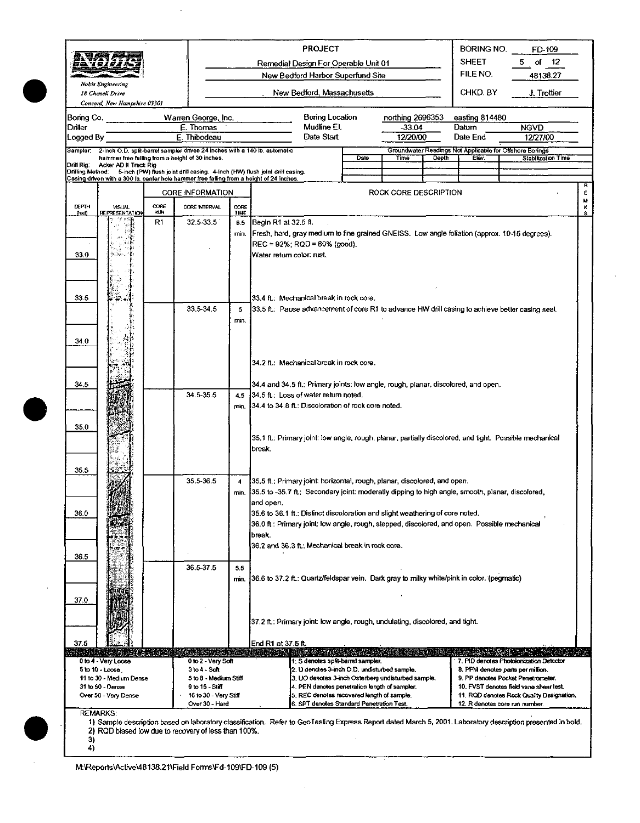| 59 1 21 2                          | Nobis Engineering                                                                                                                      |                    | <b>PROJECT</b><br>Remedial Design For Operable Unit 01<br>New Bedford Harbor Superfund Site                                                              |                              |                                                                                                                                                                                                                                                            |  |                                                                                                                                                                                                                                                                                      |                                          |       | <b>BORING NO.</b><br>FD-109<br><b>SHEET</b><br>of $12$<br>5.<br>FILE NO.<br>48138.27 |                                                                                                                                                                                                                                             |  |  |
|------------------------------------|----------------------------------------------------------------------------------------------------------------------------------------|--------------------|----------------------------------------------------------------------------------------------------------------------------------------------------------|------------------------------|------------------------------------------------------------------------------------------------------------------------------------------------------------------------------------------------------------------------------------------------------------|--|--------------------------------------------------------------------------------------------------------------------------------------------------------------------------------------------------------------------------------------------------------------------------------------|------------------------------------------|-------|--------------------------------------------------------------------------------------|---------------------------------------------------------------------------------------------------------------------------------------------------------------------------------------------------------------------------------------------|--|--|
|                                    | 18 Chenell Drive<br>Concord, New Hampshire 03301                                                                                       |                    |                                                                                                                                                          |                              | New Bedford, Massachusetts                                                                                                                                                                                                                                 |  |                                                                                                                                                                                                                                                                                      |                                          |       | CHKD. BY                                                                             | J. Trottier                                                                                                                                                                                                                                 |  |  |
| Boring Co.<br>Driller<br>Logged By |                                                                                                                                        |                    | Warren George, Inc.<br>E. Thomas<br>E. Thibodeau                                                                                                         |                              | Boring Location<br>Mudline El.<br>Date Start                                                                                                                                                                                                               |  |                                                                                                                                                                                                                                                                                      | northing 2696353<br>$-33.04$<br>12/20/00 |       | easting 814480<br>Datum<br>Date End                                                  | <b>NGVD</b><br>12/27/00                                                                                                                                                                                                                     |  |  |
|                                    | Sampler: 2-inch O.D. split-barrel sampler driven 24 inches with a 140 lb, automatic<br>hammer free falling from a height of 30 inches. |                    |                                                                                                                                                          |                              |                                                                                                                                                                                                                                                            |  | Date                                                                                                                                                                                                                                                                                 | Time                                     | Depth | Elev.                                                                                | Groundwater Readings Not Applicable for Offshore Borings<br>Stabilization Time                                                                                                                                                              |  |  |
| Drill Rig:                         | Acker AD II Truck Rig                                                                                                                  |                    |                                                                                                                                                          |                              | Drilling Method: 5-inch (PW) flush joint drill casing. 4-inch (HW) flush joint drill casing.                                                                                                                                                               |  |                                                                                                                                                                                                                                                                                      |                                          |       |                                                                                      |                                                                                                                                                                                                                                             |  |  |
|                                    |                                                                                                                                        |                    | <b>CORE INFORMATION</b>                                                                                                                                  |                              | Casing driven with a 300 lb, center hole hammer free failing from a height of 24 inches.                                                                                                                                                                   |  |                                                                                                                                                                                                                                                                                      | ROCK CORE DESCRIPTION                    |       |                                                                                      | ε                                                                                                                                                                                                                                           |  |  |
| DEPTH<br>(feet)                    | <b>VISUAL</b><br><b>REPRESENTATION</b>                                                                                                 | CORE<br><b>KUN</b> | CORE INTERVAL                                                                                                                                            | <b>CORE</b><br>TIME          |                                                                                                                                                                                                                                                            |  |                                                                                                                                                                                                                                                                                      |                                          |       |                                                                                      | M<br>K                                                                                                                                                                                                                                      |  |  |
| 33.0                               |                                                                                                                                        | R1                 | 32.5-33.5                                                                                                                                                | 6.5<br>min.                  | Begin R1 at 32.5 ft.<br>[Fresh, hard, gray medium to fine grained GNEISS. Low angle foliation (approx. 10-15 degrees).<br>$REC = 92\%; RQD = 80\%$ (good).<br>Water return color: rust.                                                                    |  |                                                                                                                                                                                                                                                                                      |                                          |       |                                                                                      |                                                                                                                                                                                                                                             |  |  |
| 33.5                               |                                                                                                                                        |                    | 33.5 34.5                                                                                                                                                | 5                            | 33.4 ft.: Mechanical break in rock core.<br>33.5 ft.: Pause advancement of core R1 to advance HW drill casing to achieve better casing seal.                                                                                                               |  |                                                                                                                                                                                                                                                                                      |                                          |       |                                                                                      |                                                                                                                                                                                                                                             |  |  |
| 34.0                               |                                                                                                                                        |                    |                                                                                                                                                          | min.                         |                                                                                                                                                                                                                                                            |  |                                                                                                                                                                                                                                                                                      |                                          |       |                                                                                      |                                                                                                                                                                                                                                             |  |  |
|                                    |                                                                                                                                        |                    |                                                                                                                                                          |                              | 34.2 ft.: Mechanical break in rock core.                                                                                                                                                                                                                   |  |                                                                                                                                                                                                                                                                                      |                                          |       |                                                                                      |                                                                                                                                                                                                                                             |  |  |
| 34.5                               |                                                                                                                                        |                    |                                                                                                                                                          |                              | 34.4 and 34.5 ft.: Primary joints: low angle, rough, planar, discolored, and open.                                                                                                                                                                         |  |                                                                                                                                                                                                                                                                                      |                                          |       |                                                                                      |                                                                                                                                                                                                                                             |  |  |
|                                    |                                                                                                                                        |                    | 34 5 35 5                                                                                                                                                | 4.5<br>min.                  | 34.5 ft: Loss of water return noted.<br>34.4 to 34.8 ft.: Discoloration of rock core noted.                                                                                                                                                                |  |                                                                                                                                                                                                                                                                                      |                                          |       |                                                                                      |                                                                                                                                                                                                                                             |  |  |
| 35.0                               |                                                                                                                                        |                    |                                                                                                                                                          |                              | 35.1 ft.; Primary joint: low angle, rough, planar, partially discolored, and tight. Possible mechanical<br>break                                                                                                                                           |  |                                                                                                                                                                                                                                                                                      |                                          |       |                                                                                      |                                                                                                                                                                                                                                             |  |  |
| 35.5                               |                                                                                                                                        |                    | 35.5-36.5                                                                                                                                                | $\blacktriangleleft$<br>min. | 35.5 ft.; Primary joint: horizontal, rough, planar, discolored, and open.<br>35.5 to -35.7 ft.: Secondary joint: moderatly dipping to high angle, smooth, planar, discolored,                                                                              |  |                                                                                                                                                                                                                                                                                      |                                          |       |                                                                                      |                                                                                                                                                                                                                                             |  |  |
| 36.0                               |                                                                                                                                        |                    |                                                                                                                                                          |                              | and open.<br>35.6 to 36.1 ft.: Distinct discoloration and slight weathering of core noted.<br>36.0 ft.: Primary joint: low angle, rough, stepped, discolored, and open. Possible mechanical<br>break.<br>36.2 and 36.3 ft.; Mechanical break in rock core. |  |                                                                                                                                                                                                                                                                                      |                                          |       |                                                                                      |                                                                                                                                                                                                                                             |  |  |
| 36.5                               |                                                                                                                                        |                    | 36.5-37.5                                                                                                                                                | 5.5                          |                                                                                                                                                                                                                                                            |  |                                                                                                                                                                                                                                                                                      |                                          |       |                                                                                      |                                                                                                                                                                                                                                             |  |  |
| 37.0                               |                                                                                                                                        |                    |                                                                                                                                                          | min.                         | 36.6 to 37.2 ft.: Quartz/feldspar vein. Dark gray to milky white/pink in color. (pegmatic)                                                                                                                                                                 |  |                                                                                                                                                                                                                                                                                      |                                          |       |                                                                                      |                                                                                                                                                                                                                                             |  |  |
|                                    |                                                                                                                                        |                    |                                                                                                                                                          |                              | 37.2 ft.: Primary joint: low angle, rough, undulating, discolored, and tight.                                                                                                                                                                              |  |                                                                                                                                                                                                                                                                                      |                                          |       |                                                                                      |                                                                                                                                                                                                                                             |  |  |
| 37.5                               |                                                                                                                                        |                    |                                                                                                                                                          |                              | End R1 at 37.5 ft.                                                                                                                                                                                                                                         |  |                                                                                                                                                                                                                                                                                      |                                          |       |                                                                                      |                                                                                                                                                                                                                                             |  |  |
|                                    | 0 to 4 Very Loose<br>5 to 10 - Loose,<br>11 to 30 - Medium Dense<br>31 to 50 - Dense<br>Over 50 - Very Dense                           |                    | <b>ATHENIA EXPLOSITION</b><br>0 to 2 - Very Soft<br>3 to 4 - Saft<br>5 to 8 - Medium Stiff<br>9 to 15 - Stiff<br>16 to 30 - Very Stiff<br>Over 30 - Hard |                              |                                                                                                                                                                                                                                                            |  | 1: S denotes split-barrel sampler.<br>2. U denotes 3-inch O.D. undisturbed sample.<br>3. UO denotes 3-inch Osterberg undisturbed sample.<br>4. PEN denotes penetration length of sampler.<br>5. REC denotes recovered length of sample.<br>6. SPT denotes Standard Penetration Test. |                                          |       |                                                                                      | 7. PID denotes Photoionization Detector<br>8. PPM denotes parts per million.<br>9. PP denotes Pocket Penetrometer.<br>10. FVST denotes field vane shear test.<br>11 RQD denotes Rock Quality Designation.<br>12. R denotes core run number. |  |  |
| 3)<br>4)                           | <b>REMARKS:</b><br>2) RQD biased low due to recovery of less than 100%.                                                                |                    |                                                                                                                                                          |                              |                                                                                                                                                                                                                                                            |  |                                                                                                                                                                                                                                                                                      |                                          |       |                                                                                      | 1) Sample description based on laboratory classification. Refer to GeoTesting Express Report dated March 5, 2001. Laboratory description presented in bold.                                                                                 |  |  |

 $\bar{z}$ 

M:\Reports\Active\48138.21\Field Forms\Fd-109\FD-109 (5)

 $\ddot{\phantom{a}}$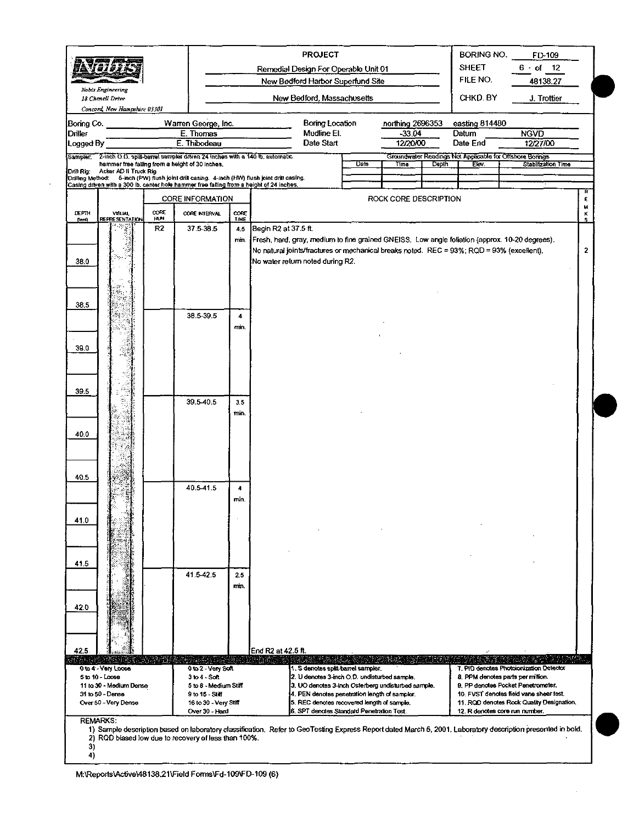| 42.5.<br>935 V 19            | 0 to 4 - Very Loose<br>5 to 10 - Loose<br>11 to 30 - Medium Dense<br>31 to 50 - Dense |                                 | Working faitheath a cond<br>0 to 2 - Very Soft<br>$3$ to $4 -$ Soft<br>5 to 8 - Medium Stiff<br>9 to 15 - Stift                             |                               | End R2 at 42.5 ft.<br>1. S denotes split-barrel sampler.<br>2. U denotes 3-inch O.D. undisturbed sample.<br>3. UO denotes 3-inch Osterberg undisturbed sample.<br>4. PEN denotes penetration length of sampler. |      |                                          |              |                                     | 7. PID denotes Photoionization Detector<br>8. PPM denotes parts per million.<br>9. PP denotes Pocket Penetrometer.<br>10. FVST denotes field vane shear test. |              |
|------------------------------|---------------------------------------------------------------------------------------|---------------------------------|---------------------------------------------------------------------------------------------------------------------------------------------|-------------------------------|-----------------------------------------------------------------------------------------------------------------------------------------------------------------------------------------------------------------|------|------------------------------------------|--------------|-------------------------------------|---------------------------------------------------------------------------------------------------------------------------------------------------------------|--------------|
| 42.0                         |                                                                                       |                                 | 41.5-42.5                                                                                                                                   | 25<br>min.                    |                                                                                                                                                                                                                 |      |                                          |              |                                     |                                                                                                                                                               |              |
| 41.0<br>41,5                 |                                                                                       |                                 |                                                                                                                                             |                               |                                                                                                                                                                                                                 |      |                                          |              |                                     |                                                                                                                                                               |              |
| 40.5                         |                                                                                       |                                 | 40.5-41.5                                                                                                                                   | 4<br>min.                     |                                                                                                                                                                                                                 |      |                                          |              |                                     |                                                                                                                                                               |              |
| 40.0                         |                                                                                       |                                 |                                                                                                                                             |                               |                                                                                                                                                                                                                 |      |                                          |              |                                     |                                                                                                                                                               |              |
| 39.5                         |                                                                                       |                                 | 39.5-40.5                                                                                                                                   | 3.5<br>min.                   |                                                                                                                                                                                                                 |      |                                          |              |                                     |                                                                                                                                                               |              |
| 39.0                         |                                                                                       |                                 |                                                                                                                                             |                               |                                                                                                                                                                                                                 |      |                                          |              |                                     |                                                                                                                                                               |              |
| 38.5                         |                                                                                       |                                 | 38.5-39.5                                                                                                                                   | 4<br>min.                     |                                                                                                                                                                                                                 |      |                                          |              |                                     |                                                                                                                                                               |              |
| 38.0                         |                                                                                       |                                 |                                                                                                                                             |                               | No natural joints/fractures or mechanical breaks noted. REC = 93%; RQD = 93% (excellent).<br>No water return noted during R2.                                                                                   |      |                                          |              |                                     |                                                                                                                                                               | 2            |
| DEPTH<br>(1001)              | <b>VISUAL</b><br><b>REPRESENTATION</b>                                                | <b>CORE</b><br><b>HUN</b><br>R2 | COPE INTERVAL<br>37.5-38.5                                                                                                                  | $\cos$<br>TIME<br>4.5<br>min. | Begin R2 at 37.5 ft.<br>Fresh, hard, gray, medium to fine grained GNEISS. Low angle foliation (approx. 10-20 degrees).                                                                                          |      |                                          |              |                                     |                                                                                                                                                               | ĸ<br>s       |
|                              |                                                                                       |                                 | <b>CORE INFORMATION</b>                                                                                                                     |                               |                                                                                                                                                                                                                 |      | ROCK CORE DESCRIPTION                    |              |                                     |                                                                                                                                                               | R<br>E.<br>w |
| Drill Rig:                   | Acker AD II Truck Rig                                                                 |                                 | hammer free falling from a height of 30 inches.<br>Casing driven with a 300 lb, center hole hammer free falling from a height of 24 inches. |                               | Drilling Method: 5-inch (PW) flush joint drill casing. 4-inch (HW) flush joint drill casing.                                                                                                                    | Date | Time                                     | Depth        | Ew.                                 | Stabilization Time                                                                                                                                            |              |
| Logged By<br>Sampler.        |                                                                                       |                                 | 2-inch O.O. split-barrel sampler driven 24 inches with a 140 lb. automatic                                                                  |                               |                                                                                                                                                                                                                 |      |                                          |              |                                     | Groundwater Readings Not Applicable for Offshore Borings                                                                                                      |              |
| Boring Co.<br><b>Driller</b> |                                                                                       |                                 | Warren George, Inc.<br>E. Thomas<br>E. Thibodeau                                                                                            |                               | Boring Location<br>Mudline El.<br>Date Start                                                                                                                                                                    |      | northing 2696353<br>$-33.04$<br>12/20/00 |              | easting 814480<br>Datum<br>Date End | <b>NGVD</b><br>12/27/00                                                                                                                                       |              |
|                              | 18 Chenell Drive<br>Concord, New Hampshire 03301                                      |                                 |                                                                                                                                             |                               | New Bedford, Massachusetts                                                                                                                                                                                      |      |                                          |              | CHKD. BY                            | J. Trottier                                                                                                                                                   |              |
|                              | Nobis Engineering                                                                     |                                 |                                                                                                                                             |                               | New Bedford Harbor Superfund Site                                                                                                                                                                               |      |                                          |              | FILE NO.                            | 48138.27                                                                                                                                                      |              |
|                              | 计自动子工                                                                                 |                                 |                                                                                                                                             |                               | Remedial Design For Operable Unit 01                                                                                                                                                                            |      |                                          | <b>SHEET</b> | 6 of 12                             |                                                                                                                                                               |              |

 $\bar{z}$ 

 $\cdot$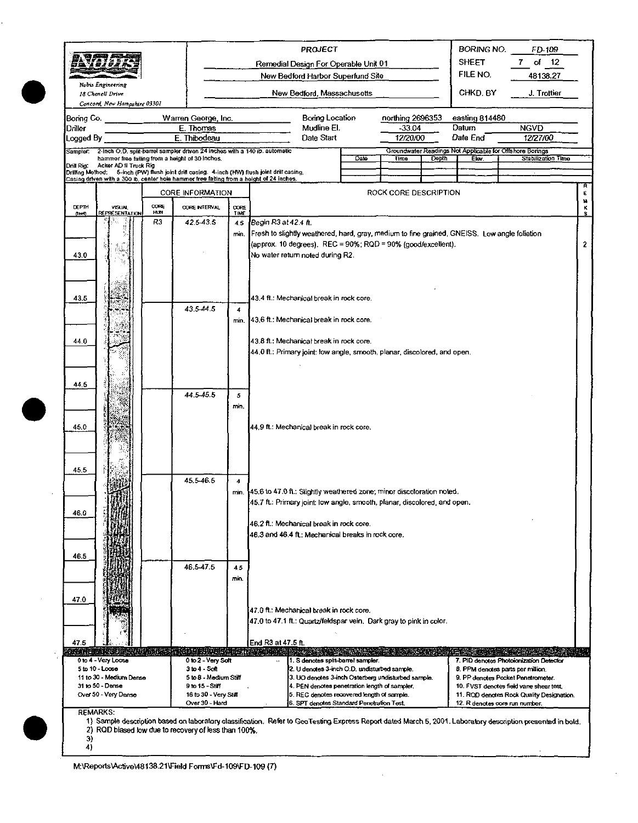|                      |                                                  |             |                                                                                                                                                                                                 |                                                                                                                                        |                                          | PROJECT                                                                                                           |      |                              |              | <b>BORING NO.</b>       | FD-109                                                                                                                                                      |                |  |  |  |
|----------------------|--------------------------------------------------|-------------|-------------------------------------------------------------------------------------------------------------------------------------------------------------------------------------------------|----------------------------------------------------------------------------------------------------------------------------------------|------------------------------------------|-------------------------------------------------------------------------------------------------------------------|------|------------------------------|--------------|-------------------------|-------------------------------------------------------------------------------------------------------------------------------------------------------------|----------------|--|--|--|
|                      |                                                  |             |                                                                                                                                                                                                 |                                                                                                                                        |                                          | Remedial Design For Operable Unit 01                                                                              |      |                              | <b>SHEET</b> | of 12<br>7              |                                                                                                                                                             |                |  |  |  |
|                      | Nobis Engineering                                |             |                                                                                                                                                                                                 |                                                                                                                                        |                                          | New Bedford Harbor Superfund Site                                                                                 |      |                              |              | FILE NO.                | 48138.27                                                                                                                                                    |                |  |  |  |
|                      | 18 Chenell Drive<br>Concord, New Hampshire 03301 |             |                                                                                                                                                                                                 |                                                                                                                                        |                                          | New Bedford, Massachusetts                                                                                        |      |                              |              | CHKD, BY                | J. Trottier                                                                                                                                                 |                |  |  |  |
| Bonng Co.<br>Driller |                                                  |             | Warren George, Inc.<br>E. Thomas                                                                                                                                                                |                                                                                                                                        |                                          | <b>Boring Location</b><br>Mudline El.                                                                             |      | northing 2696353<br>$-33.04$ |              | easting 814480<br>Datum | <b>NGVD</b>                                                                                                                                                 |                |  |  |  |
| Logged By            |                                                  |             | E. Thibodeau                                                                                                                                                                                    |                                                                                                                                        |                                          | Date Start                                                                                                        |      | 12/20/00                     |              | Date End                | 12/27/00                                                                                                                                                    |                |  |  |  |
| Sampler:             |                                                  |             |                                                                                                                                                                                                 | 2-inch O.D. split-barrel sampler driven 24 inches with a 140 ib. automatic<br>Groundwater Readings Not Applicable for Offshore Borings |                                          |                                                                                                                   |      |                              |              |                         |                                                                                                                                                             |                |  |  |  |
| Drill Rig:           | Acker AD II Truck Rig                            |             | hammer free failing from a height of 30 inches.                                                                                                                                                 |                                                                                                                                        |                                          |                                                                                                                   | Date | Time                         | <b>Depth</b> | Elov.                   | Stabilization Time                                                                                                                                          |                |  |  |  |
|                      |                                                  |             | Drilling Method:      5-inch (PW) flush joint drill casing.   4-inch (HW) flush joint drill casing.<br>Casing driven with a 300 lb, center hole hammer free falting from a height of 24 inches. |                                                                                                                                        |                                          |                                                                                                                   |      |                              |              |                         |                                                                                                                                                             |                |  |  |  |
|                      |                                                  |             | <b>CORE INFORMATION</b>                                                                                                                                                                         |                                                                                                                                        |                                          |                                                                                                                   |      | ROCK CORE DESCRIPTION        |              |                         |                                                                                                                                                             | Ε              |  |  |  |
| DEPTH<br>(feel)      | <b>VISUAL</b><br><b>REPRESENTATION</b>           | CORE<br>HUN | CORE INTERVAL                                                                                                                                                                                   | CORE<br>TIME                                                                                                                           |                                          |                                                                                                                   |      |                              |              |                         |                                                                                                                                                             | M<br>s         |  |  |  |
|                      |                                                  | R3          | 42.5-43.5                                                                                                                                                                                       | 4.5                                                                                                                                    | Begin R3 at 42.4 ft.                     |                                                                                                                   |      |                              |              |                         |                                                                                                                                                             |                |  |  |  |
|                      |                                                  |             |                                                                                                                                                                                                 | min.                                                                                                                                   |                                          | Fresh to slightly weathered, hard, gray, medium to fine grained, GNEISS. Low angle foliation                      |      |                              |              |                         |                                                                                                                                                             |                |  |  |  |
|                      |                                                  |             |                                                                                                                                                                                                 |                                                                                                                                        |                                          | (approx. 10 degrees). REC = 90%; RQD = 90% (good/excellent).                                                      |      |                              |              |                         |                                                                                                                                                             | $\overline{2}$ |  |  |  |
| 43.0                 |                                                  |             |                                                                                                                                                                                                 |                                                                                                                                        |                                          | No water return noted during R2.                                                                                  |      |                              |              |                         |                                                                                                                                                             |                |  |  |  |
|                      |                                                  |             |                                                                                                                                                                                                 |                                                                                                                                        |                                          |                                                                                                                   |      |                              |              |                         |                                                                                                                                                             |                |  |  |  |
|                      |                                                  |             |                                                                                                                                                                                                 |                                                                                                                                        |                                          |                                                                                                                   |      |                              |              |                         |                                                                                                                                                             |                |  |  |  |
| 43.5                 |                                                  |             |                                                                                                                                                                                                 |                                                                                                                                        |                                          | 43.4 ft.: Mechanical break in rock core.                                                                          |      |                              |              |                         |                                                                                                                                                             |                |  |  |  |
|                      |                                                  |             | 43.5-44.5                                                                                                                                                                                       | 4                                                                                                                                      |                                          |                                                                                                                   |      |                              |              |                         |                                                                                                                                                             |                |  |  |  |
|                      |                                                  |             |                                                                                                                                                                                                 | min.                                                                                                                                   | 43.6 ft.: Mechanical break in rock core. |                                                                                                                   |      |                              |              |                         |                                                                                                                                                             |                |  |  |  |
|                      |                                                  |             |                                                                                                                                                                                                 |                                                                                                                                        |                                          | 43.8 ft.: Mechanical break in rock core.                                                                          |      |                              |              |                         |                                                                                                                                                             |                |  |  |  |
| 44.0                 |                                                  |             |                                                                                                                                                                                                 |                                                                                                                                        |                                          |                                                                                                                   |      |                              |              |                         |                                                                                                                                                             |                |  |  |  |
|                      |                                                  |             |                                                                                                                                                                                                 |                                                                                                                                        |                                          | 44.0 ft.: Primary joint: low angle, smooth, planar, discolored, and open.                                         |      |                              |              |                         |                                                                                                                                                             |                |  |  |  |
|                      |                                                  |             |                                                                                                                                                                                                 |                                                                                                                                        |                                          |                                                                                                                   |      |                              |              |                         |                                                                                                                                                             |                |  |  |  |
| 44.5                 |                                                  |             |                                                                                                                                                                                                 |                                                                                                                                        |                                          |                                                                                                                   |      |                              |              |                         |                                                                                                                                                             |                |  |  |  |
|                      |                                                  |             | 44.5-45.5                                                                                                                                                                                       | 5                                                                                                                                      |                                          |                                                                                                                   |      |                              |              |                         |                                                                                                                                                             |                |  |  |  |
|                      |                                                  |             |                                                                                                                                                                                                 | min.                                                                                                                                   |                                          |                                                                                                                   |      |                              |              |                         |                                                                                                                                                             |                |  |  |  |
|                      |                                                  |             |                                                                                                                                                                                                 |                                                                                                                                        |                                          |                                                                                                                   |      |                              |              |                         |                                                                                                                                                             |                |  |  |  |
| 45.0                 |                                                  |             |                                                                                                                                                                                                 |                                                                                                                                        |                                          | 44.9 ft.: Mechanical break in rock core.                                                                          |      |                              |              |                         |                                                                                                                                                             |                |  |  |  |
|                      |                                                  |             |                                                                                                                                                                                                 |                                                                                                                                        |                                          |                                                                                                                   |      |                              |              |                         |                                                                                                                                                             |                |  |  |  |
|                      |                                                  |             |                                                                                                                                                                                                 |                                                                                                                                        |                                          |                                                                                                                   |      |                              |              |                         |                                                                                                                                                             |                |  |  |  |
| 45.5                 |                                                  |             |                                                                                                                                                                                                 |                                                                                                                                        |                                          |                                                                                                                   |      |                              |              |                         |                                                                                                                                                             |                |  |  |  |
|                      |                                                  |             | 45.5-46.5                                                                                                                                                                                       | 4                                                                                                                                      |                                          |                                                                                                                   |      |                              |              |                         |                                                                                                                                                             |                |  |  |  |
|                      |                                                  |             |                                                                                                                                                                                                 | min.                                                                                                                                   |                                          | [45,6 to 47.0 ft.: Slightly weathered zone; minor discoloration noted.                                            |      |                              |              |                         |                                                                                                                                                             |                |  |  |  |
|                      |                                                  |             |                                                                                                                                                                                                 |                                                                                                                                        |                                          | 45.7 ft.: Primary joint: low angle, smooth, planar, discolored, and open.                                         |      |                              |              |                         |                                                                                                                                                             |                |  |  |  |
| 46.0                 |                                                  |             |                                                                                                                                                                                                 |                                                                                                                                        |                                          |                                                                                                                   |      |                              |              |                         |                                                                                                                                                             |                |  |  |  |
|                      |                                                  |             |                                                                                                                                                                                                 |                                                                                                                                        |                                          | 46.2 ft.: Mechanical break in rock core.<br>46.3 and 46.4 ft: Mechanical breaks in rock core.                     |      |                              |              |                         |                                                                                                                                                             |                |  |  |  |
|                      |                                                  |             |                                                                                                                                                                                                 |                                                                                                                                        |                                          |                                                                                                                   |      |                              |              |                         |                                                                                                                                                             |                |  |  |  |
| 46.5                 |                                                  |             |                                                                                                                                                                                                 |                                                                                                                                        |                                          |                                                                                                                   |      |                              |              |                         |                                                                                                                                                             |                |  |  |  |
|                      |                                                  |             | 46.5-47.5                                                                                                                                                                                       | 45                                                                                                                                     |                                          |                                                                                                                   |      |                              |              |                         |                                                                                                                                                             |                |  |  |  |
|                      |                                                  |             |                                                                                                                                                                                                 | min.                                                                                                                                   |                                          |                                                                                                                   |      |                              |              |                         |                                                                                                                                                             |                |  |  |  |
|                      |                                                  |             |                                                                                                                                                                                                 |                                                                                                                                        |                                          |                                                                                                                   |      |                              |              |                         |                                                                                                                                                             |                |  |  |  |
| 47.0                 |                                                  |             |                                                                                                                                                                                                 |                                                                                                                                        |                                          |                                                                                                                   |      |                              |              |                         |                                                                                                                                                             |                |  |  |  |
|                      |                                                  |             |                                                                                                                                                                                                 |                                                                                                                                        |                                          | (47,0 ft.: Mechanical break in rock core.<br>[47.0 to 47.1 ft.: Quartz/feldspar vein. Dark gray to pink in color. |      |                              |              |                         |                                                                                                                                                             |                |  |  |  |
|                      |                                                  |             |                                                                                                                                                                                                 |                                                                                                                                        |                                          |                                                                                                                   |      |                              |              |                         |                                                                                                                                                             |                |  |  |  |
| 47.5                 |                                                  |             |                                                                                                                                                                                                 |                                                                                                                                        | End R3 at 47.5 ft.                       |                                                                                                                   |      |                              |              |                         |                                                                                                                                                             |                |  |  |  |
|                      |                                                  |             |                                                                                                                                                                                                 |                                                                                                                                        |                                          |                                                                                                                   |      |                              |              |                         |                                                                                                                                                             |                |  |  |  |
|                      | 0 to 4 - Very Loose<br>5 to 10 - Loose           |             | 0 to 2 Very Soft<br>$3$ to $4 - S$ cft                                                                                                                                                          |                                                                                                                                        |                                          | 1. S denotes split-barrel sampler.<br>2. U denotes 3-inch O.D. undisturbed sample.                                |      |                              |              |                         | 7. PID denotes Photoionization Detector<br>8. PPM denotes parts per million.                                                                                |                |  |  |  |
|                      | 11 to 30 - Medium Dense                          |             | 5 to 8 - Medium Stiff                                                                                                                                                                           |                                                                                                                                        |                                          | 3. UO denotes 3-inch Osterberg undisturbed sample.                                                                |      |                              |              |                         | 9. PP denotes Pocket Penetrometer.                                                                                                                          |                |  |  |  |
|                      | 31 to 50 - Dense<br>Over 50 - Very Dense         |             | 9 to 15 - Stiff<br>16 to 30 - Very St诵                                                                                                                                                          |                                                                                                                                        |                                          | 4. PEN denotes penetration length of sampler.<br>5. REC denotes recovered length of sample.                       |      |                              |              |                         | 10. FVST denotes field vane shear test.<br>11. ROD denotes Rock Quality Designation.                                                                        |                |  |  |  |
|                      |                                                  |             | Over 30 - Hard                                                                                                                                                                                  |                                                                                                                                        |                                          | 6. SPT denotes Standard Penetration Test.                                                                         |      |                              |              |                         | 12. R denotes core run number.                                                                                                                              |                |  |  |  |
|                      | REMARKS:                                         |             |                                                                                                                                                                                                 |                                                                                                                                        |                                          |                                                                                                                   |      |                              |              |                         |                                                                                                                                                             |                |  |  |  |
|                      |                                                  |             | 2) RQD biased low due to recovery of less than 100%.                                                                                                                                            |                                                                                                                                        |                                          |                                                                                                                   |      |                              |              |                         | 1) Sample description based on laboratory classification. Refer to GeoTesting Express Report dated March 5, 2001. Laboratory description presented in bold. |                |  |  |  |
| 3)                   |                                                  |             |                                                                                                                                                                                                 |                                                                                                                                        |                                          |                                                                                                                   |      |                              |              |                         |                                                                                                                                                             |                |  |  |  |
| 4)                   |                                                  |             |                                                                                                                                                                                                 |                                                                                                                                        |                                          |                                                                                                                   |      |                              |              |                         |                                                                                                                                                             |                |  |  |  |

M:\Reports\Active\48138.21\Field Forms\Fd-109\FD-109 (7)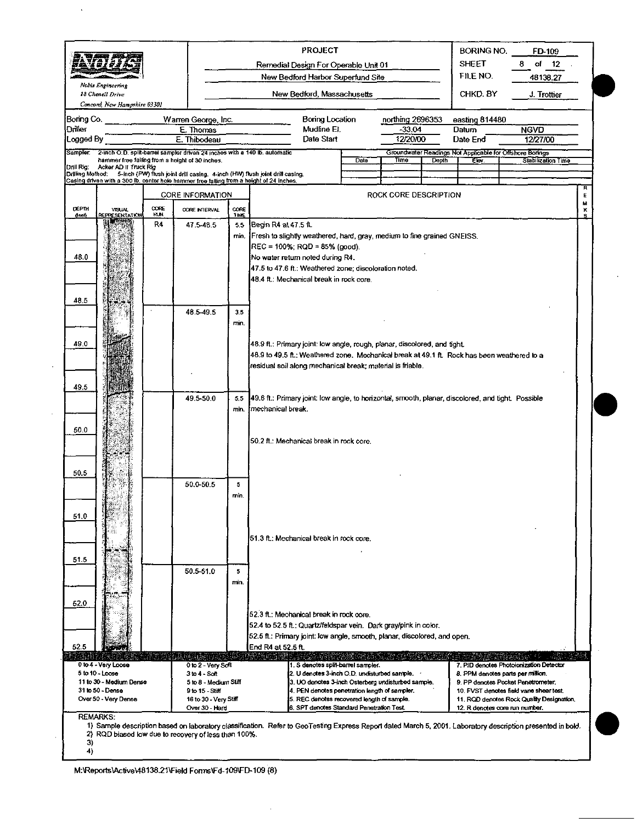|                              |                                            |            |                                                                            |             | <b>PROJECT</b>                                                                                                                                                                           |                  |                              |              | BORING NO.                    | FD-109                                                                      |        |
|------------------------------|--------------------------------------------|------------|----------------------------------------------------------------------------|-------------|------------------------------------------------------------------------------------------------------------------------------------------------------------------------------------------|------------------|------------------------------|--------------|-------------------------------|-----------------------------------------------------------------------------|--------|
|                              | 3m y 21 o 3                                |            |                                                                            |             | Remedial Design For Operable Unit 01                                                                                                                                                     |                  |                              |              | <b>SHEET</b><br>οf<br>12<br>8 |                                                                             |        |
|                              | Nobis Engineering                          |            |                                                                            |             | New Bedford Harbor Superfund Site                                                                                                                                                        |                  |                              |              | FILE NO.                      | 48138.27                                                                    |        |
|                              | 18 Chenell Drive                           |            |                                                                            |             | New Bedford, Massachusetts                                                                                                                                                               |                  |                              |              | CHKD. BY                      | J. Trottier                                                                 |        |
|                              | Concord, New Hampshire 03301               |            |                                                                            |             |                                                                                                                                                                                          |                  |                              |              |                               |                                                                             |        |
| Boring Co.<br><b>Driller</b> |                                            |            | Warren George, Inc.<br>E. Thomas                                           |             | <b>Boring Location</b><br>Mudline El.                                                                                                                                                    |                  | northing 2696353<br>$-33.04$ |              | easting 814480<br>Datum       | <b>NGVD</b>                                                                 |        |
| Logged By                    |                                            |            | E. Thibodeau                                                               |             | Date Start                                                                                                                                                                               |                  | 12/20/00                     |              | Date End                      | 12/27/00                                                                    |        |
| Sampler.                     |                                            |            | 2-inch O.D. split-barrel sampler driven 24 inches with a 140 lb. automatic |             |                                                                                                                                                                                          |                  |                              |              |                               | Groundwater Readings Not Applicable for Offshore Borings                    |        |
| Drill Ria:                   | Acker AD II Truck Rig                      |            | hammer free falling from a height of 30 inches.                            |             |                                                                                                                                                                                          | Date <sup></sup> | Timo                         | <b>Depth</b> | Clev.                         | Stabilization Time                                                          |        |
|                              |                                            |            |                                                                            |             | Drilling Method: 5-inch (PW) flush joint drill casing. 4-inch (HW) flush joint drill casing.<br>Casing driven with a 300 lb. center hole hammer free falling from a height of 24 inches. |                  |                              |              |                               |                                                                             |        |
|                              |                                            |            | <b>CORE INFORMATION</b>                                                    |             |                                                                                                                                                                                          |                  | ROCK CORE DESCRIPTION        |              |                               |                                                                             | R<br>E |
| DEPTH                        | <b>VISUAL</b>                              | CORE       | <b>OORE INTERVAL</b>                                                       | <b>CORE</b> |                                                                                                                                                                                          |                  |                              |              |                               |                                                                             | M<br>к |
| fleet)                       | <b>REPRESENTATION</b>                      | <b>HUN</b> |                                                                            | 1ME         |                                                                                                                                                                                          |                  |                              |              |                               |                                                                             |        |
|                              |                                            | R4         | 47.5 48.5                                                                  | 5.5<br>min. | Begin R4 at 47.5 ft.<br>Fresh to slightly weathered, hard, gray, medium to fine grained GNEISS.                                                                                          |                  |                              |              |                               |                                                                             |        |
|                              |                                            |            |                                                                            |             | $REC = 100\%$ ; RQD = 85% (good).                                                                                                                                                        |                  |                              |              |                               |                                                                             |        |
| 48.0                         |                                            |            |                                                                            |             | No water return noted during R4.                                                                                                                                                         |                  |                              |              |                               |                                                                             |        |
|                              |                                            |            |                                                                            |             | 47.5 to 47.6 ft.: Weathered zone; discoloration noted.                                                                                                                                   |                  |                              |              |                               |                                                                             |        |
|                              |                                            |            |                                                                            |             | 48.4 ft.: Mechanical break in rock core.                                                                                                                                                 |                  |                              |              |                               |                                                                             |        |
|                              |                                            |            |                                                                            |             |                                                                                                                                                                                          |                  |                              |              |                               |                                                                             |        |
| 48.5                         |                                            |            |                                                                            |             |                                                                                                                                                                                          |                  |                              |              |                               |                                                                             |        |
|                              |                                            |            | 48.5-49.5                                                                  | 3.5<br>min. |                                                                                                                                                                                          |                  |                              |              |                               |                                                                             |        |
|                              |                                            |            |                                                                            |             |                                                                                                                                                                                          |                  |                              |              |                               |                                                                             |        |
| 49.0                         |                                            |            |                                                                            |             | 48.9 ft.: Primary joint: low angle, rough, planar, discolored, and tight.                                                                                                                |                  |                              |              |                               |                                                                             |        |
|                              |                                            |            |                                                                            |             | 48.9 to 49.5 ft.; Weathered zone. Mechanical break at 49.1 ft. Rock has been weathered to a                                                                                              |                  |                              |              |                               |                                                                             |        |
|                              |                                            |            |                                                                            |             | residual soil along mechanical break; material is friable.                                                                                                                               |                  |                              |              |                               |                                                                             |        |
|                              |                                            |            |                                                                            |             |                                                                                                                                                                                          |                  |                              |              |                               |                                                                             |        |
| 49.5                         |                                            |            |                                                                            |             |                                                                                                                                                                                          |                  |                              |              |                               |                                                                             |        |
|                              |                                            |            | 49.5-50.0                                                                  | 5.5<br>min. | 49.6 ft.: Primary joint: low angle, to horizontal, smooth, planar, discolored, and tight. Possible<br>mechanical break.                                                                  |                  |                              |              |                               |                                                                             |        |
|                              |                                            |            |                                                                            |             |                                                                                                                                                                                          |                  |                              |              |                               |                                                                             |        |
| 50.0                         |                                            |            |                                                                            |             |                                                                                                                                                                                          |                  |                              |              |                               |                                                                             |        |
|                              |                                            |            |                                                                            |             | 50.2 ft.: Mechanical break in rock core.                                                                                                                                                 |                  |                              |              |                               |                                                                             |        |
|                              |                                            |            |                                                                            |             |                                                                                                                                                                                          |                  |                              |              |                               |                                                                             |        |
|                              |                                            |            |                                                                            |             |                                                                                                                                                                                          |                  |                              |              |                               |                                                                             |        |
| 50.5                         |                                            |            | 50.0-50.5                                                                  | 5           |                                                                                                                                                                                          |                  |                              |              |                               |                                                                             |        |
|                              |                                            |            |                                                                            | min.        |                                                                                                                                                                                          |                  |                              |              |                               |                                                                             |        |
|                              |                                            |            |                                                                            |             |                                                                                                                                                                                          |                  |                              |              |                               |                                                                             |        |
| 51.0                         |                                            |            |                                                                            |             |                                                                                                                                                                                          |                  |                              |              |                               |                                                                             |        |
|                              |                                            |            |                                                                            |             |                                                                                                                                                                                          |                  |                              |              |                               |                                                                             |        |
|                              |                                            |            |                                                                            |             | 151.3 ft.: Mechanical break in rock core.                                                                                                                                                |                  |                              |              |                               |                                                                             |        |
| 51.5                         |                                            |            |                                                                            |             |                                                                                                                                                                                          |                  |                              |              |                               |                                                                             |        |
|                              |                                            |            | 50.5-51.0                                                                  | 5           |                                                                                                                                                                                          |                  |                              |              |                               |                                                                             |        |
|                              |                                            |            |                                                                            | min.        |                                                                                                                                                                                          |                  |                              |              |                               |                                                                             |        |
|                              |                                            |            |                                                                            |             |                                                                                                                                                                                          |                  |                              |              |                               |                                                                             |        |
| 52.0                         |                                            |            |                                                                            |             |                                                                                                                                                                                          |                  |                              |              |                               |                                                                             |        |
|                              |                                            |            |                                                                            |             | 52.3 ft.: Mechanical break in rock core.                                                                                                                                                 |                  |                              |              |                               |                                                                             |        |
|                              |                                            |            |                                                                            |             | 52.4 to 52.5 ft.; Quartz/feldspar vein. Dark gray/pink in color.                                                                                                                         |                  |                              |              |                               |                                                                             |        |
| 52.5                         |                                            |            |                                                                            |             | 52.5 ft.: Primary joint: low angle, smooth, planar, discolored, and open.<br>End R4 at 52.5 ft.                                                                                          |                  |                              |              |                               |                                                                             |        |
| 伝染す                          |                                            |            |                                                                            |             | a masa da sensa                                                                                                                                                                          |                  |                              |              |                               |                                                                             |        |
|                              | 0 to 4 - Very Loose                        |            | 0 to 2 - Very Soft                                                         |             | 1. S denotes split-barrel sampler.                                                                                                                                                       |                  |                              |              |                               | 7. PID denotes Photoionization Detector                                     |        |
|                              | 5 to 10 - Loose<br>11 to 30 - Medium Dense |            | $3104 - S$ oft<br>5 to 8 - Medium Stiff                                    |             | 2. U denotes 3-inch O.D. undisturbed sample.<br>3. UO denotes 3-inch Osterberg undisturbed sample.                                                                                       |                  |                              |              |                               | 8. PPM denotes parts per million.<br>9. PP denotes Pocket Penetrometer.     |        |
|                              | 31 to 50 - Dense                           |            | 9 to 15 - Stiff                                                            |             | 4. PEN denotes penetration length of sampler.                                                                                                                                            |                  |                              |              |                               | 10. FVST denotes field vane shear test,                                     |        |
|                              | Over 50 - Very Dense                       |            | 16 to 30 - Very Stiff<br>Over 30 - Hard                                    |             | 5. REC denotes recovered length of sample.<br>6. SPT denotes Standard Penetration Test.                                                                                                  |                  |                              |              |                               | 11. ROD denotes Rock Quality Designation.<br>12. R denotes core run number. |        |
|                              | <b>REMARKS:</b>                            |            |                                                                            |             |                                                                                                                                                                                          |                  |                              |              |                               |                                                                             |        |
|                              |                                            |            |                                                                            |             | 1) Sample description based on laboratory classification. Refer to GeoTesting Express Report dated March 5, 2001. Laboratory description presented in bold.                              |                  |                              |              |                               |                                                                             |        |
| 3)                           |                                            |            | 2) RQD biased low due to recovery of less than 100%.                       |             |                                                                                                                                                                                          |                  |                              |              |                               |                                                                             |        |
| 4)                           |                                            |            |                                                                            |             |                                                                                                                                                                                          |                  |                              |              |                               |                                                                             |        |

 $\ddot{\phantom{a}}$ 

 $\hat{\boldsymbol{\theta}}$ 

 $\bar{z}$ 

 $\ddot{\phantom{a}}$ 

 $\mathcal{A}$ 

M:\Reports\Active\48138.21\Field Forms\Fd-109\FD-109 (8)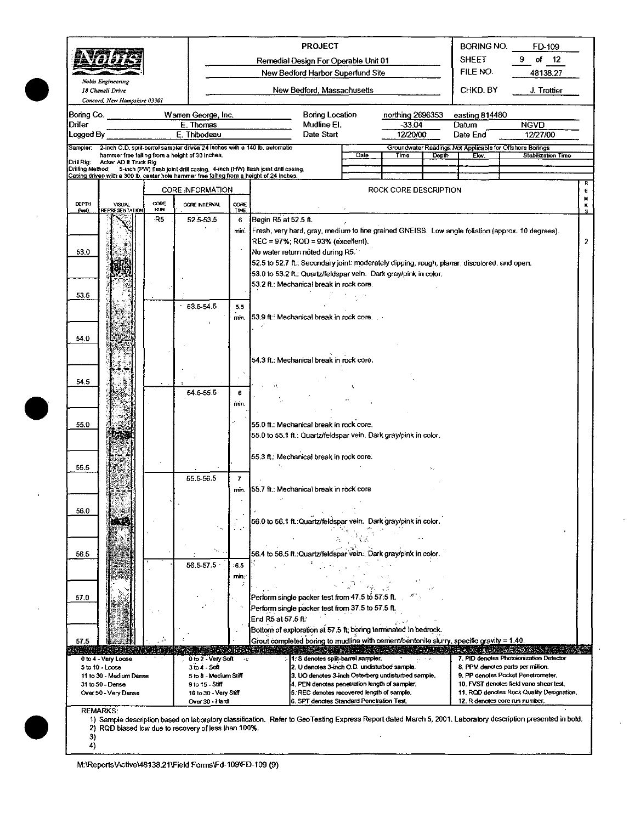|                 |                                                  |            |                                                                                                                                        |                                                                           |                                                                                             | <b>PROJECT</b>                                                                                       |              |                       |       | <b>BORING NO.</b><br><b>SHEET</b> | FD-109                                                                                                                                                      |  |  |  |
|-----------------|--------------------------------------------------|------------|----------------------------------------------------------------------------------------------------------------------------------------|---------------------------------------------------------------------------|---------------------------------------------------------------------------------------------|------------------------------------------------------------------------------------------------------|--------------|-----------------------|-------|-----------------------------------|-------------------------------------------------------------------------------------------------------------------------------------------------------------|--|--|--|
|                 |                                                  |            |                                                                                                                                        | Remedial Design For Operable Unit 01<br>New Bedford Harbor Superfund Site |                                                                                             |                                                                                                      |              |                       |       |                                   | of<br>$-12$                                                                                                                                                 |  |  |  |
|                 | Nobis Engineering                                |            |                                                                                                                                        |                                                                           |                                                                                             |                                                                                                      |              |                       |       | FILE NO.                          | 48138.27                                                                                                                                                    |  |  |  |
|                 | 18 Chenell Drive<br>Concord, New Hampshire 03301 |            |                                                                                                                                        |                                                                           |                                                                                             | New Bedford, Massachusetts                                                                           |              |                       |       | CHKD. BY                          | J. Trottier                                                                                                                                                 |  |  |  |
| Boring Co.      |                                                  |            | Warren George, Inc.                                                                                                                    |                                                                           |                                                                                             | Boring Location                                                                                      |              | northing 2696353      |       | easting 814480                    |                                                                                                                                                             |  |  |  |
| Driller         |                                                  |            | E. Thomas                                                                                                                              |                                                                           |                                                                                             | Mudline EI.                                                                                          |              | -33.04                |       | Datum                             | <b>NGVD</b>                                                                                                                                                 |  |  |  |
| Logged By       |                                                  |            | E. Thibodeau                                                                                                                           |                                                                           |                                                                                             | Date Start<br>12/20/00                                                                               |              |                       |       | Date End                          | 12/27/00                                                                                                                                                    |  |  |  |
|                 |                                                  |            | Sampler: 2-inch O.D. split-barrel sampler driven 24 inches with a 140 lb. automatic<br>hammer free falling from a height of 30 inches. |                                                                           |                                                                                             |                                                                                                      | Date         | Time                  | Depth | Elev.                             | Groundwater Readings Not Applicable for Offshore Borings<br>Stabilization Time                                                                              |  |  |  |
| Dril Rig:       | Acker AD II Truck Rig                            |            | Drilling Method: 5-inch (PW) flush joint drill casing. 4-inch (HW) flush joint drill casing.                                           |                                                                           |                                                                                             |                                                                                                      |              |                       |       |                                   |                                                                                                                                                             |  |  |  |
|                 |                                                  |            | Casing driven with a 300 lb, center hole hammer free falling from a height of 24 inches.                                               |                                                                           |                                                                                             |                                                                                                      |              |                       |       |                                   |                                                                                                                                                             |  |  |  |
| <b>DEPTH</b>    | <b>VISUAL</b>                                    | CORE       | <b>CORE INFORMATION</b><br>CORE NTERVAL                                                                                                | CORE                                                                      |                                                                                             |                                                                                                      |              | ROCK CORE DESCRIPTION |       |                                   |                                                                                                                                                             |  |  |  |
| $f$ ee $\gamma$ | <b>REPRESENTATION</b>                            | <b>HUN</b> |                                                                                                                                        | TIME                                                                      |                                                                                             |                                                                                                      |              |                       |       |                                   |                                                                                                                                                             |  |  |  |
|                 |                                                  | -R5        | 52.5-53.5                                                                                                                              | 6<br>min.                                                                 | Begin R5 at 52.5 ft.                                                                        |                                                                                                      |              |                       |       |                                   | Fresh, very hard, gray, medium to fine grained GNEISS. Low angle foliation (approx. 10 degrees).                                                            |  |  |  |
|                 |                                                  |            |                                                                                                                                        |                                                                           |                                                                                             | REC = 97%: ROD = 93% (excellent).                                                                    |              |                       |       |                                   |                                                                                                                                                             |  |  |  |
| 53.0            |                                                  |            |                                                                                                                                        |                                                                           |                                                                                             | No water return noted during R5.                                                                     |              |                       |       |                                   |                                                                                                                                                             |  |  |  |
|                 |                                                  |            |                                                                                                                                        |                                                                           | 52.5 to 52.7 ft.: Secondary joint: moderately dipping, rough, planar, discolored, and open. |                                                                                                      |              |                       |       |                                   |                                                                                                                                                             |  |  |  |
|                 |                                                  |            |                                                                                                                                        |                                                                           |                                                                                             | 53.0 to 53.2 ft.; Quartz/feldspar vein. Dark gray/pink in color.                                     |              |                       |       |                                   |                                                                                                                                                             |  |  |  |
| 53.5            |                                                  |            |                                                                                                                                        |                                                                           |                                                                                             | 53.2 ft.: Mechanical break in rock core.                                                             |              |                       |       |                                   |                                                                                                                                                             |  |  |  |
|                 |                                                  |            | 53.5-54.5                                                                                                                              | 5.5                                                                       |                                                                                             |                                                                                                      |              |                       |       |                                   |                                                                                                                                                             |  |  |  |
|                 |                                                  |            |                                                                                                                                        | min.                                                                      | 53.9 ft.: Mechanical break in rock core.                                                    |                                                                                                      |              |                       |       |                                   |                                                                                                                                                             |  |  |  |
|                 |                                                  |            |                                                                                                                                        |                                                                           |                                                                                             |                                                                                                      |              |                       |       |                                   |                                                                                                                                                             |  |  |  |
| 54.0            |                                                  |            |                                                                                                                                        |                                                                           |                                                                                             |                                                                                                      |              |                       |       |                                   |                                                                                                                                                             |  |  |  |
|                 |                                                  |            |                                                                                                                                        |                                                                           |                                                                                             | 54.3 ft.; Mechanical break in rock core.                                                             |              |                       |       |                                   |                                                                                                                                                             |  |  |  |
|                 |                                                  |            |                                                                                                                                        |                                                                           |                                                                                             |                                                                                                      |              |                       |       |                                   |                                                                                                                                                             |  |  |  |
| 54.5            |                                                  |            |                                                                                                                                        |                                                                           |                                                                                             |                                                                                                      |              |                       |       |                                   |                                                                                                                                                             |  |  |  |
|                 |                                                  |            | 54.5-55.5                                                                                                                              | 6                                                                         |                                                                                             |                                                                                                      |              |                       |       |                                   |                                                                                                                                                             |  |  |  |
|                 |                                                  |            |                                                                                                                                        | min.                                                                      |                                                                                             |                                                                                                      |              |                       |       |                                   |                                                                                                                                                             |  |  |  |
| 55.0            |                                                  |            |                                                                                                                                        |                                                                           |                                                                                             | 55.0 ft.: Mechanical break in rock core.                                                             |              |                       |       |                                   |                                                                                                                                                             |  |  |  |
|                 |                                                  |            |                                                                                                                                        |                                                                           |                                                                                             | 55.0 to 55.1 ft.: Quartz/feldspar vein. Dark gray/pink in color.                                     |              |                       |       |                                   |                                                                                                                                                             |  |  |  |
|                 |                                                  |            |                                                                                                                                        |                                                                           |                                                                                             |                                                                                                      |              |                       |       |                                   |                                                                                                                                                             |  |  |  |
|                 |                                                  |            |                                                                                                                                        |                                                                           |                                                                                             | 55.3 ft.: Mechanical break in rock core.                                                             |              |                       |       |                                   |                                                                                                                                                             |  |  |  |
| 55.5            |                                                  |            | 55.5-56.5                                                                                                                              |                                                                           |                                                                                             |                                                                                                      |              |                       |       |                                   |                                                                                                                                                             |  |  |  |
|                 |                                                  |            |                                                                                                                                        | $\overline{I}$<br>min.                                                    |                                                                                             | 155.7 ft.: Mechanical break in rock core                                                             |              |                       |       |                                   |                                                                                                                                                             |  |  |  |
|                 |                                                  |            |                                                                                                                                        |                                                                           |                                                                                             |                                                                                                      |              |                       |       |                                   |                                                                                                                                                             |  |  |  |
| 56.0            |                                                  |            |                                                                                                                                        |                                                                           |                                                                                             |                                                                                                      |              |                       |       |                                   |                                                                                                                                                             |  |  |  |
|                 |                                                  |            |                                                                                                                                        |                                                                           |                                                                                             | 56.0 to 56.1 ft.: Quartz/feldspar vein. Dark gray/pink in color.                                     |              |                       |       |                                   |                                                                                                                                                             |  |  |  |
|                 |                                                  |            |                                                                                                                                        |                                                                           |                                                                                             |                                                                                                      |              |                       |       |                                   |                                                                                                                                                             |  |  |  |
| 56.5            |                                                  |            |                                                                                                                                        |                                                                           |                                                                                             | 56.4 to 56.5 ft.:Quartz/feldspar vein Dark grav/pink in color.                                       |              |                       |       |                                   |                                                                                                                                                             |  |  |  |
|                 |                                                  |            | 56.5-57.5                                                                                                                              | 6.5                                                                       |                                                                                             |                                                                                                      |              |                       |       |                                   |                                                                                                                                                             |  |  |  |
|                 |                                                  |            |                                                                                                                                        | min:                                                                      |                                                                                             |                                                                                                      |              |                       |       |                                   |                                                                                                                                                             |  |  |  |
|                 |                                                  |            |                                                                                                                                        | ÷                                                                         |                                                                                             |                                                                                                      |              |                       |       |                                   |                                                                                                                                                             |  |  |  |
| 57.0            |                                                  |            |                                                                                                                                        |                                                                           |                                                                                             | Perform single packer test from 47.5 to 57.5 ft.<br>Perform single packer test from 37.5 to 57.5 ft. |              |                       |       |                                   |                                                                                                                                                             |  |  |  |
|                 |                                                  |            |                                                                                                                                        |                                                                           | End R5 at 57.5 ft.                                                                          |                                                                                                      |              |                       |       |                                   |                                                                                                                                                             |  |  |  |
|                 |                                                  |            |                                                                                                                                        |                                                                           |                                                                                             | Bottom of exploration at 57.5 ft; boring terminated in bedrock.                                      |              |                       |       |                                   |                                                                                                                                                             |  |  |  |
| 57.5            |                                                  |            |                                                                                                                                        |                                                                           |                                                                                             | Grout completed boring to mudline with cement/bentonite slurry, specific gravity = $1.40$ .          |              |                       |       |                                   |                                                                                                                                                             |  |  |  |
|                 | 0 to 4 - Very Locse                              |            | 0 to 2 - Very Soft                                                                                                                     |                                                                           |                                                                                             | 1: S denotes split-barrel sampler.                                                                   | いいっかん いっぱんかい |                       |       | and the problem and the           | 7. PID denotes Photoionization Detector                                                                                                                     |  |  |  |
| 5 to 10 - Loose |                                                  |            | $3$ to $4$ - Soft                                                                                                                      |                                                                           |                                                                                             | 2. U denotes 3-inch O.D. undisturbed sample.                                                         |              |                       |       |                                   | 8. PPM denotes parts per million.<br>9. PP denotes Pocket Penetrometer.                                                                                     |  |  |  |
|                 | 11 to 30 - Medium Dense<br>31 to 50 - Dense      |            | 5 to 8 - Medium Stiff<br>9 to 15 - Stiff                                                                                               |                                                                           |                                                                                             | 3. UO denotes 3-inch Osterberg undisturbed sample.<br>4. PEN denotes penetration length of sampler.  |              |                       |       |                                   | 10. FVST denotes field vane shear test,                                                                                                                     |  |  |  |
|                 | Over 50 - Very Dense                             |            | 16 to 30 - Very Stiff                                                                                                                  |                                                                           |                                                                                             | 5. REC denotes recovered length of sample.                                                           |              |                       |       |                                   | 11. ROD denotes Rock Quality Designation.                                                                                                                   |  |  |  |
| <b>REMARKS:</b> |                                                  |            | Over 30 - Hard                                                                                                                         |                                                                           |                                                                                             | 6, SPT denotes Standard Penetration Test.                                                            |              |                       |       |                                   | 12. R denotes core run number.                                                                                                                              |  |  |  |
|                 |                                                  |            |                                                                                                                                        |                                                                           |                                                                                             |                                                                                                      |              |                       |       |                                   | 1) Sample description based on laboratory classification. Refer to GeoTesting Express Report dated March 5, 2001. Laboratory description presented in bold. |  |  |  |
| 3)              |                                                  |            | 2) RQD biased low due to recovery of less than 100%.                                                                                   |                                                                           |                                                                                             |                                                                                                      |              |                       |       |                                   |                                                                                                                                                             |  |  |  |
| 4)              |                                                  |            |                                                                                                                                        |                                                                           |                                                                                             |                                                                                                      |              |                       |       |                                   |                                                                                                                                                             |  |  |  |

M:\Reports\Active\48138.21\Field Forms\Fd-109\FD-109 (9)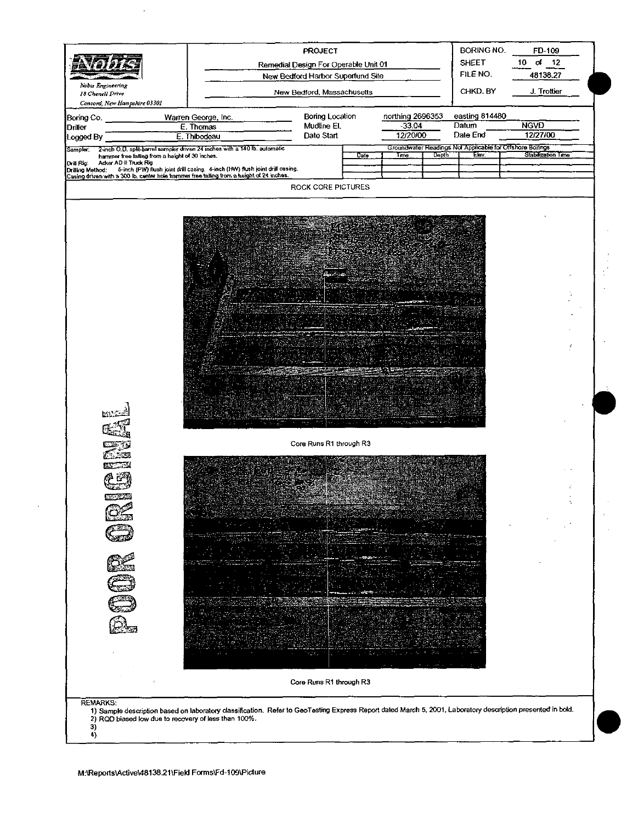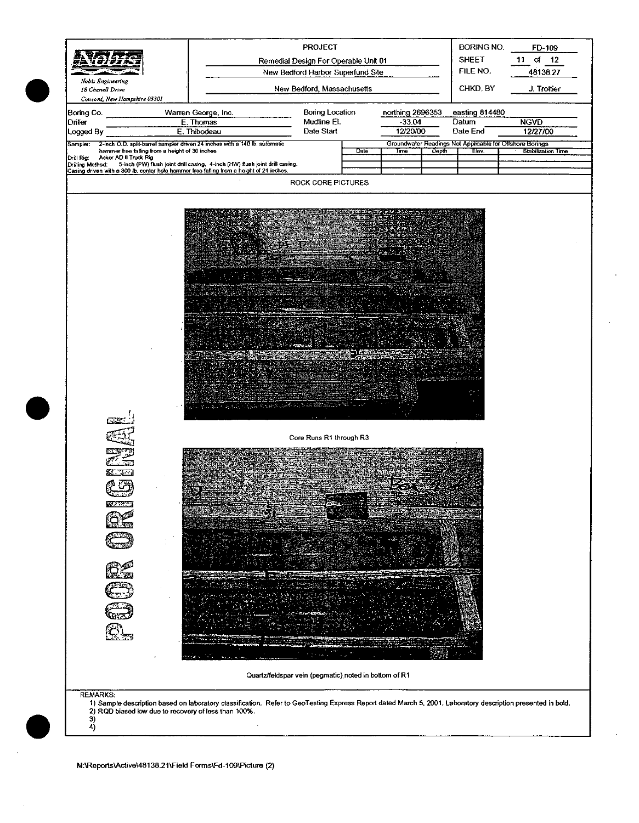